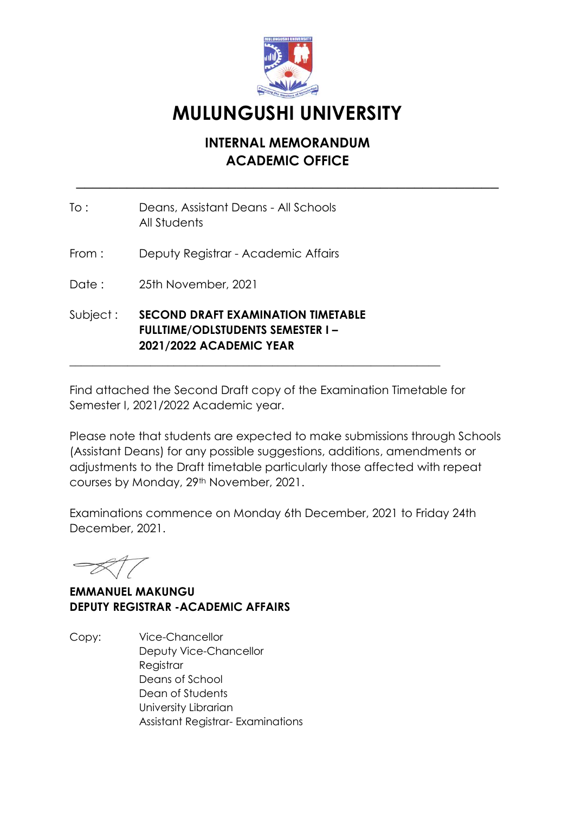

## **MULUNGUSHI UNIVERSITY**

## **INTERNAL MEMORANDUM ACADEMIC OFFICE**

\_\_\_\_\_\_\_\_\_\_\_\_\_\_\_\_\_\_\_\_\_\_\_\_\_\_\_\_\_\_\_\_\_\_\_\_\_\_\_\_\_\_\_\_\_\_\_\_\_\_

- To : Deans, Assistant Deans All Schools All Students
- From : Deputy Registrar Academic Affairs
- Date: 25th November, 2021
- Subject : **SECOND DRAFT EXAMINATION TIMETABLE FULLTIME/ODLSTUDENTS SEMESTER I – 2021/2022 ACADEMIC YEAR**

Find attached the Second Draft copy of the Examination Timetable for Semester I, 2021/2022 Academic year.

\_\_\_\_\_\_\_\_\_\_\_\_\_\_\_\_\_\_\_\_\_\_\_\_\_\_\_\_\_\_\_\_\_\_\_\_\_\_\_\_\_\_\_\_\_\_\_\_\_\_\_\_\_\_\_\_\_\_\_\_\_\_\_\_

Please note that students are expected to make submissions through Schools (Assistant Deans) for any possible suggestions, additions, amendments or adjustments to the Draft timetable particularly those affected with repeat courses by Monday, 29th November, 2021.

Examinations commence on Monday 6th December, 2021 to Friday 24th December, 2021.

**EMMANUEL MAKUNGU DEPUTY REGISTRAR -ACADEMIC AFFAIRS**

Copy: Vice-Chancellor Deputy Vice-Chancellor **Registrar** Deans of School Dean of Students University Librarian Assistant Registrar- Examinations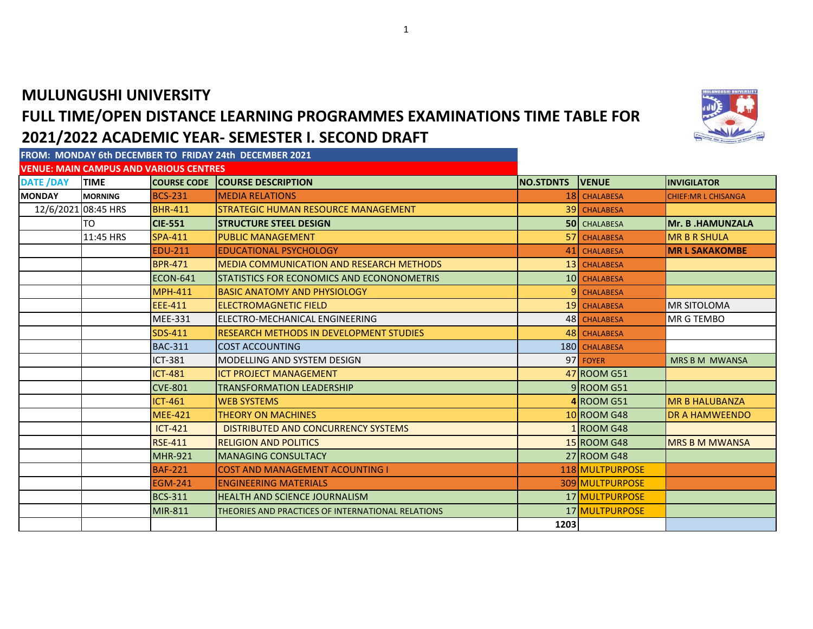## **MULUNGUSHI UNIVERSITY FULL TIME/OPEN DISTANCE LEARNING PROGRAMMES EXAMINATIONS TIME TABLE FOR 2021/2022 ACADEMIC YEAR- SEMESTER I. SECOND DRAFT**

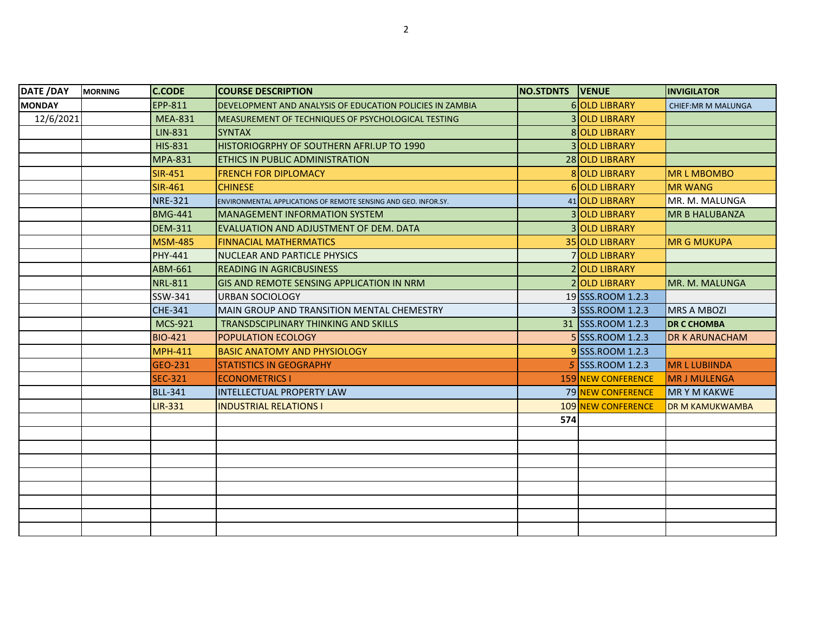| DATE /DAY     | <b>MORNING</b> | <b>C.CODE</b>  | <b>COURSE DESCRIPTION</b>                                       | <b>NO.STDNTS VENUE</b> |                           | <b>INVIGILATOR</b>         |
|---------------|----------------|----------------|-----------------------------------------------------------------|------------------------|---------------------------|----------------------------|
| <b>MONDAY</b> |                | EPP-811        | DEVELOPMENT AND ANALYSIS OF EDUCATION POLICIES IN ZAMBIA        |                        | 6 OLD LIBRARY             | <b>CHIEF: MR M MALUNGA</b> |
| 12/6/2021     |                | <b>MEA-831</b> | <b>IMEASUREMENT OF TECHNIQUES OF PSYCHOLOGICAL TESTING</b>      |                        | 3 OLD LIBRARY             |                            |
|               |                | LIN-831        | <b>SYNTAX</b>                                                   |                        | 8 OLD LIBRARY             |                            |
|               |                | <b>HIS-831</b> | HISTORIOGRPHY OF SOUTHERN AFRI.UP TO 1990                       |                        | <b>3 OLD LIBRARY</b>      |                            |
|               |                | <b>MPA-831</b> | <b>ETHICS IN PUBLIC ADMINISTRATION</b>                          |                        | 28 OLD LIBRARY            |                            |
|               |                | <b>SIR-451</b> | <b>FRENCH FOR DIPLOMACY</b>                                     |                        | 8 OLD LIBRARY             | <b>MRLMBOMBO</b>           |
|               |                | <b>SIR-461</b> | <b>CHINESE</b>                                                  |                        | 6 OLD LIBRARY             | <b>MR WANG</b>             |
|               |                | <b>NRE-321</b> | ENVIRONMENTAL APPLICATIONS OF REMOTE SENSING AND GEO. INFOR.SY. |                        | 41 OLD LIBRARY            | MR. M. MALUNGA             |
|               |                | <b>BMG-441</b> | <b>IMANAGEMENT INFORMATION SYSTEM</b>                           |                        | 3 OLD LIBRARY             | <b>MR B HALUBANZA</b>      |
|               |                | <b>DEM-311</b> | <b>IEVALUATION AND ADJUSTMENT OF DEM. DATA</b>                  |                        | 3 OLD LIBRARY             |                            |
|               |                | <b>MSM-485</b> | <b>FINNACIAL MATHERMATICS</b>                                   |                        | 35 OLD LIBRARY            | <b>MR G MUKUPA</b>         |
|               |                | PHY-441        | <b>INUCLEAR AND PARTICLE PHYSICS</b>                            |                        | 7 OLD LIBRARY             |                            |
|               |                | <b>ABM-661</b> | <b>READING IN AGRICBUSINESS</b>                                 |                        | 2 OLD LIBRARY             |                            |
|               |                | <b>NRL-811</b> | <b>IGIS AND REMOTE SENSING APPLICATION IN NRM</b>               |                        | 2 OLD LIBRARY             | MR. M. MALUNGA             |
|               |                | SSW-341        | <b>URBAN SOCIOLOGY</b>                                          |                        | 19 SSS.ROOM 1.2.3         |                            |
|               |                | CHE-341        | IMAIN GROUP AND TRANSITION MENTAL CHEMESTRY                     |                        | 3 SSS.ROOM 1.2.3          | <b>MRS A MBOZI</b>         |
|               |                | <b>MCS-921</b> | TRANSDSCIPLINARY THINKING AND SKILLS                            |                        | 31 SSS.ROOM 1.2.3         | <b>DR C CHOMBA</b>         |
|               |                | <b>BIO-421</b> | <b>POPULATION ECOLOGY</b>                                       |                        | 5 SSS.ROOM 1.2.3          | <b>DR K ARUNACHAM</b>      |
|               |                | <b>MPH-411</b> | <b>BASIC ANATOMY AND PHYSIOLOGY</b>                             |                        | 9 SSS.ROOM 1.2.3          |                            |
|               |                | GEO-231        | <b>STATISTICS IN GEOGRAPHY</b>                                  |                        | 5 SSS.ROOM 1.2.3          | <b>MRLLUBIINDA</b>         |
|               |                | <b>SEC-321</b> | <b>ECONOMETRICS I</b>                                           |                        | 159 NEW CONFERENCE        | <b>MR J MULENGA</b>        |
|               |                | <b>BLL-341</b> | <b>INTELLECTUAL PROPERTY LAW</b>                                |                        | 79 NEW CONFERENCE         | <b>MRYM KAKWE</b>          |
|               |                | LIR-331        | <b>INDUSTRIAL RELATIONS I</b>                                   |                        | <b>109 NEW CONFERENCE</b> | <b>DR M KAMUKWAMBA</b>     |
|               |                |                |                                                                 | 574                    |                           |                            |
|               |                |                |                                                                 |                        |                           |                            |
|               |                |                |                                                                 |                        |                           |                            |
|               |                |                |                                                                 |                        |                           |                            |
|               |                |                |                                                                 |                        |                           |                            |
|               |                |                |                                                                 |                        |                           |                            |
|               |                |                |                                                                 |                        |                           |                            |
|               |                |                |                                                                 |                        |                           |                            |
|               |                |                |                                                                 |                        |                           |                            |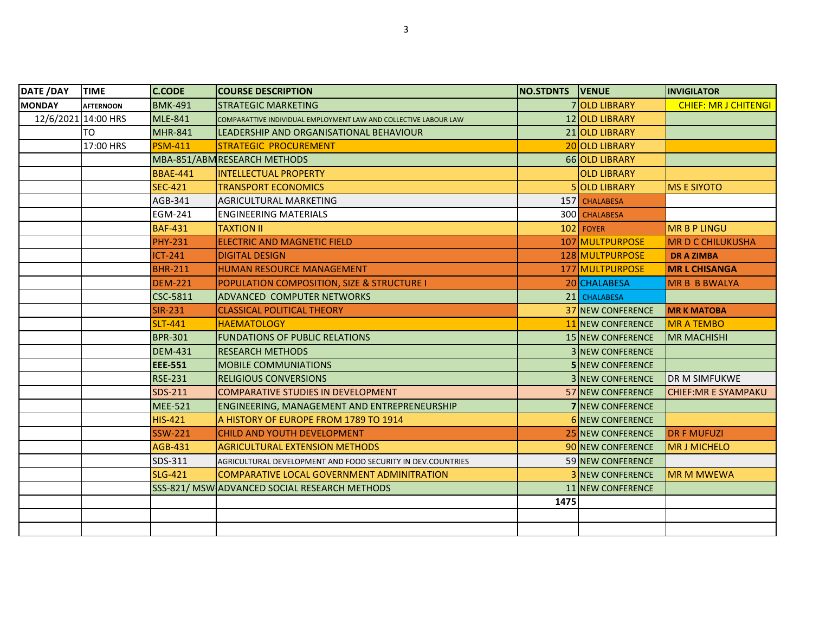| DATE /DAY           | <b>TIME</b>      | <b>C.CODE</b>   | <b>COURSE DESCRIPTION</b>                                        | <b>NO.STDNTS VENUE</b> |                          | <b>INVIGILATOR</b>          |
|---------------------|------------------|-----------------|------------------------------------------------------------------|------------------------|--------------------------|-----------------------------|
| <b>MONDAY</b>       | <b>AFTERNOON</b> | <b>BMK-491</b>  | <b>STRATEGIC MARKETING</b>                                       |                        | 7 OLD LIBRARY            | <b>CHIEF: MR J CHITENGI</b> |
| 12/6/2021 14:00 HRS |                  | <b>MLE-841</b>  | COMPARATTIVE INDIVIDUAL EMPLOYMENT LAW AND COLLECTIVE LABOUR LAW |                        | 12 OLD LIBRARY           |                             |
|                     | <b>TO</b>        | <b>MHR-841</b>  | LEADERSHIP AND ORGANISATIONAL BEHAVIOUR                          |                        | 21 OLD LIBRARY           |                             |
|                     | 17:00 HRS        | <b>PSM-411</b>  | <b>STRATEGIC PROCUREMENT</b>                                     |                        | 20 OLD LIBRARY           |                             |
|                     |                  |                 | MBA-851/ABM RESEARCH METHODS                                     |                        | 66 OLD LIBRARY           |                             |
|                     |                  | <b>BBAE-441</b> | <b>IINTELLECTUAL PROPERTY</b>                                    |                        | <b>OLD LIBRARY</b>       |                             |
|                     |                  | <b>SEC-421</b>  | <b>TRANSPORT ECONOMICS</b>                                       |                        | 5 OLD LIBRARY            | <b>MS E SIYOTO</b>          |
|                     |                  | AGB-341         | AGRICULTURAL MARKETING                                           |                        | 157 CHALABESA            |                             |
|                     |                  | EGM-241         | <b>ENGINEERING MATERIALS</b>                                     |                        | 300 CHALABESA            |                             |
|                     |                  | <b>BAF-431</b>  | <b>TAXTION II</b>                                                |                        | $102$ FOYER              | <b>MR B P LINGU</b>         |
|                     |                  | <b>PHY-231</b>  | <b>ELECTRIC AND MAGNETIC FIELD</b>                               |                        | 107 MULTPURPOSE          | <b>MR D C CHILUKUSHA</b>    |
|                     |                  | $ICT-241$       | <b>DIGITAL DESIGN</b>                                            |                        | 128 MULTPURPOSE          | <b>DRAZIMBA</b>             |
|                     |                  | <b>BHR-211</b>  | <b>HUMAN RESOURCE MANAGEMENT</b>                                 |                        | 177 MULTPURPOSE          | <b>MR L CHISANGA</b>        |
|                     |                  | <b>DEM-221</b>  | <b>POPULATION COMPOSITION, SIZE &amp; STRUCTURE I</b>            |                        | 20 CHALABESA             | <b>MR B B BWALYA</b>        |
|                     |                  | CSC-5811        | ADVANCED COMPUTER NETWORKS                                       |                        | 21 CHALABESA             |                             |
|                     |                  | <b>SIR-231</b>  | <b>CLASSICAL POLITICAL THEORY</b>                                |                        | <b>37 NEW CONFERENCE</b> | <b>MRK MATOBA</b>           |
|                     |                  | <b>SLT-441</b>  | <b>HAEMATOLOGY</b>                                               |                        | 11 NEW CONFERENCE        | <b>MR A TEMBO</b>           |
|                     |                  | <b>BPR-301</b>  | <b>FUNDATIONS OF PUBLIC RELATIONS</b>                            |                        | <b>15 NEW CONFERENCE</b> | <b>MR MACHISHI</b>          |
|                     |                  | <b>DEM-431</b>  | <b>RESEARCH METHODS</b>                                          |                        | <b>3 INEW CONFERENCE</b> |                             |
|                     |                  | <b>EEE-551</b>  | <b>MOBILE COMMUNIATIONS</b>                                      |                        | <b>5 NEW CONFERENCE</b>  |                             |
|                     |                  | <b>RSE-231</b>  | <b>RELIGIOUS CONVERSIONS</b>                                     |                        | <b>3 NEW CONFERENCE</b>  | <b>DR M SIMFUKWE</b>        |
|                     |                  | SDS-211         | <b>COMPARATIVE STUDIES IN DEVELOPMENT</b>                        |                        | <b>57 NEW CONFERENCE</b> | <b>CHIEF: MR E SYAMPAKU</b> |
|                     |                  | <b>MEE-521</b>  | ENGINEERING, MANAGEMENT AND ENTREPRENEURSHIP                     |                        | <b>7INEW CONFERENCE</b>  |                             |
|                     |                  | <b>HIS-421</b>  | A HISTORY OF EUROPE FROM 1789 TO 1914                            |                        | 6 NEW CONFERENCE         |                             |
|                     |                  | <b>SSW-221</b>  | CHILD AND YOUTH DEVELOPMENT                                      |                        | 25 NEW CONFERENCE        | <b>DR F MUFUZI</b>          |
|                     |                  | <b>AGB-431</b>  | <b>AGRICULTURAL EXTENSION METHODS</b>                            |                        | 90 NEW CONFERENCE        | <b>MR J MICHELO</b>         |
|                     |                  | SDS-311         | AGRICULTURAL DEVELOPMENT AND FOOD SECURITY IN DEV.COUNTRIES      |                        | 59 NEW CONFERENCE        |                             |
|                     |                  | <b>SLG-421</b>  | <b>COMPARATIVE LOCAL GOVERNMENT ADMINITRATION</b>                |                        | <b>3 NEW CONFERENCE</b>  | <b>MR M MWEWA</b>           |
|                     |                  |                 | SSS-821/ MSW ADVANCED SOCIAL RESEARCH METHODS                    |                        | 11 NEW CONFERENCE        |                             |
|                     |                  |                 |                                                                  | 1475                   |                          |                             |
|                     |                  |                 |                                                                  |                        |                          |                             |
|                     |                  |                 |                                                                  |                        |                          |                             |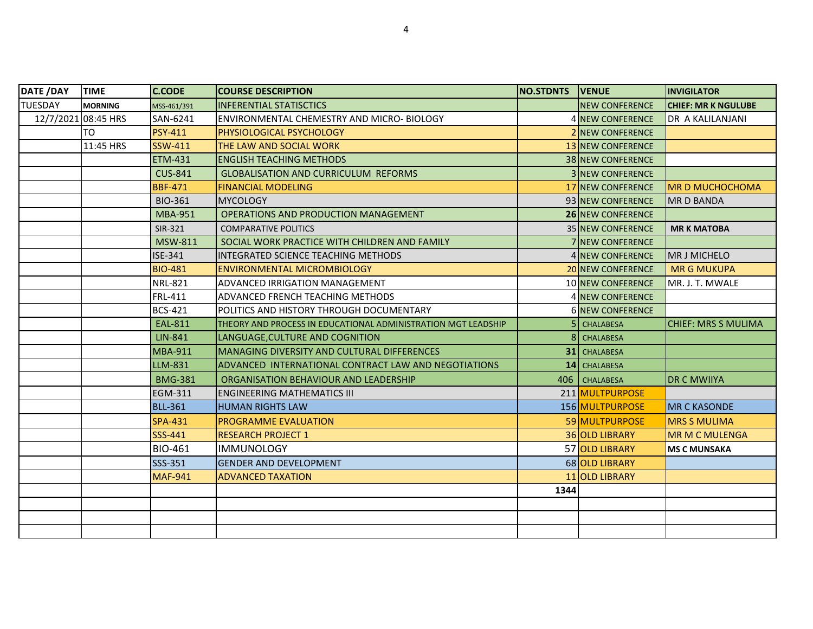| DATE / DAY          | <b>TIME</b>    | <b>C.CODE</b>  | <b>COURSE DESCRIPTION</b>                                     | NO.STDNTS   VENUE |                           | <b>INVIGILATOR</b>         |
|---------------------|----------------|----------------|---------------------------------------------------------------|-------------------|---------------------------|----------------------------|
| <b>TUESDAY</b>      | <b>MORNING</b> | MSS-461/391    | <b>IINFERENTIAL STATISCTICS</b>                               |                   | <b>NEW CONFERENCE</b>     | <b>CHIEF: MR K NGULUBE</b> |
| 12/7/2021 08:45 HRS |                | SAN-6241       | ENVIRONMENTAL CHEMESTRY AND MICRO-BIOLOGY                     |                   | <b>4 NEW CONFERENCE</b>   | DR A KALILANJANI           |
|                     | TO             | <b>PSY-411</b> | <b>PHYSIOLOGICAL PSYCHOLOGY</b>                               |                   | <b>2 NEW CONFERENCE</b>   |                            |
|                     | 11:45 HRS      | SSW-411        | THE LAW AND SOCIAL WORK                                       |                   | <b>13 NEW CONFERENCE</b>  |                            |
|                     |                | <b>ETM-431</b> | <b>ENGLISH TEACHING METHODS</b>                               |                   | <b>38 INEW CONFERENCE</b> |                            |
|                     |                | <b>CUS-841</b> | <b>GLOBALISATION AND CURRICULUM REFORMS</b>                   |                   | <b>3 INEW CONFERENCE</b>  |                            |
|                     |                | <b>BBF-471</b> | <b>FINANCIAL MODELING</b>                                     |                   | <b>17 NEW CONFERENCE</b>  | <b>MR D MUCHOCHOMA</b>     |
|                     |                | <b>BIO-361</b> | <b>MYCOLOGY</b>                                               |                   | 93 NEW CONFERENCE         | <b>MRD BANDA</b>           |
|                     |                | <b>MBA-951</b> | <b>OPERATIONS AND PRODUCTION MANAGEMENT</b>                   |                   | <b>26 NEW CONFERENCE</b>  |                            |
|                     |                | SIR-321        | <b>COMPARATIVE POLITICS</b>                                   |                   | <b>35 NEW CONFERENCE</b>  | <b>MR K MATOBA</b>         |
|                     |                | <b>MSW-811</b> | SOCIAL WORK PRACTICE WITH CHILDREN AND FAMILY                 |                   | <b>7INEW CONFERENCE</b>   |                            |
|                     |                | ISE-341        | INTEGRATED SCIENCE TEACHING METHODS                           |                   | 4 NEW CONFERENCE          | <b>MR J MICHELO</b>        |
|                     |                | <b>BIO-481</b> | <b>ENVIRONMENTAL MICROMBIOLOGY</b>                            |                   | 20 NEW CONFERENCE         | <b>MR G MUKUPA</b>         |
|                     |                | <b>NRL-821</b> | ADVANCED IRRIGATION MANAGEMENT                                |                   | <b>10 NEW CONFERENCE</b>  | MR. J. T. MWALE            |
|                     |                | FRL-411        | ADVANCED FRENCH TEACHING METHODS                              |                   | <b>4 NEW CONFERENCE</b>   |                            |
|                     |                | <b>BCS-421</b> | POLITICS AND HISTORY THROUGH DOCUMENTARY                      |                   | <b>6 NEW CONFERENCE</b>   |                            |
|                     |                | <b>EAL-811</b> | THEORY AND PROCESS IN EDUCATIONAL ADMINISTRATION MGT LEADSHIP |                   | <b>CHALABESA</b>          | <b>CHIEF: MRS S MULIMA</b> |
|                     |                | <b>LIN-841</b> | LANGUAGE, CULTURE AND COGNITION                               |                   | 8 CHALABESA               |                            |
|                     |                | <b>MBA-911</b> | <b>MANAGING DIVERSITY AND CULTURAL DIFFERENCES</b>            |                   | <b>31</b> CHALABESA       |                            |
|                     |                | LLM-831        | ADVANCED INTERNATIONAL CONTRACT LAW AND NEGOTIATIONS          |                   | 14 CHALABESA              |                            |
|                     |                | <b>BMG-381</b> | ORGANISATION BEHAVIOUR AND LEADERSHIP                         | 406               | <b>CHALABESA</b>          | <b>DR C MWIIYA</b>         |
|                     |                | EGM-311        | <b>ENGINEERING MATHEMATICS III</b>                            |                   | 211 MULTPURPOSE           |                            |
|                     |                | <b>BLL-361</b> | <b>HUMAN RIGHTS LAW</b>                                       |                   | 156 MULTPURPOSE           | <b>MR C KASONDE</b>        |
|                     |                | <b>SPA-431</b> | <b>PROGRAMME EVALUATION</b>                                   |                   | 59 MULTPURPOSE            | <b>MRS S MULIMA</b>        |
|                     |                | SSS-441        | <b>RESEARCH PROJECT 1</b>                                     |                   | 36 OLD LIBRARY            | <b>MR M C MULENGA</b>      |
|                     |                | <b>BIO-461</b> | <b>IMMUNOLOGY</b>                                             |                   | 57 OLD LIBRARY            | <b>MS C MUNSAKA</b>        |
|                     |                | SSS-351        | <b>GENDER AND DEVELOPMENT</b>                                 |                   | 68 OLD LIBRARY            |                            |
|                     |                | <b>MAF-941</b> | <b>ADVANCED TAXATION</b>                                      |                   | 11 OLD LIBRARY            |                            |
|                     |                |                |                                                               | 1344              |                           |                            |
|                     |                |                |                                                               |                   |                           |                            |
|                     |                |                |                                                               |                   |                           |                            |
|                     |                |                |                                                               |                   |                           |                            |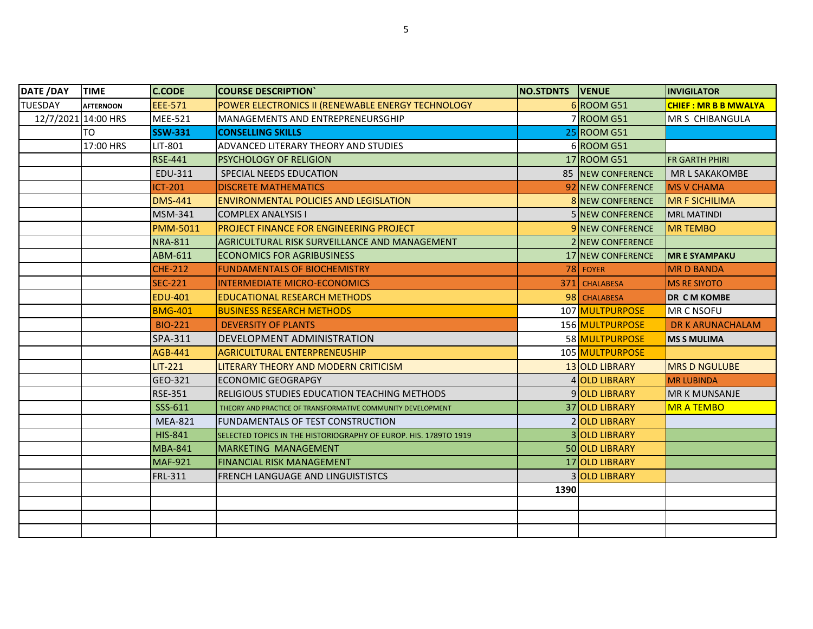| DATE /DAY           | <b>TIME</b>      | <b>C.CODE</b>   | <b>COURSE DESCRIPTION</b>                                        | NO.STDNTS VENUE |                          | <b>INVIGILATOR</b>          |
|---------------------|------------------|-----------------|------------------------------------------------------------------|-----------------|--------------------------|-----------------------------|
| <b>TUESDAY</b>      | <b>AFTERNOON</b> | <b>EEE-571</b>  | POWER ELECTRONICS II (RENEWABLE ENERGY TECHNOLOGY                |                 | 6 ROOM G51               | <b>CHIEF: MR B B MWALYA</b> |
| 12/7/2021 14:00 HRS |                  | <b>MEE-521</b>  | <b>MANAGEMENTS AND ENTREPRENEURSGHIP</b>                         |                 | 7 ROOM G51               | MR S CHIBANGULA             |
|                     | TO               | <b>SSW-331</b>  | <b>CONSELLING SKILLS</b>                                         |                 | 25 ROOM G51              |                             |
|                     | 17:00 HRS        | <b>LIT-801</b>  | ADVANCED LITERARY THEORY AND STUDIES                             |                 | 6 ROOM G51               |                             |
|                     |                  | <b>RSE-441</b>  | <b>PSYCHOLOGY OF RELIGION</b>                                    |                 | 17 ROOM G51              | <b>FR GARTH PHIRI</b>       |
|                     |                  | EDU-311         | SPECIAL NEEDS EDUCATION                                          |                 | 85 NEW CONFERENCE        | <b>MR L SAKAKOMBE</b>       |
|                     |                  | <b>ICT-201</b>  | <b>DISCRETE MATHEMATICS</b>                                      |                 | 92 NEW CONFERENCE        | <b>MS V CHAMA</b>           |
|                     |                  | <b>DMS-441</b>  | <b>ENVIRONMENTAL POLICIES AND LEGISLATION</b>                    |                 | 8 NEW CONFERENCE         | <b>MR F SICHILIMA</b>       |
|                     |                  | <b>MSM-341</b>  | <b>COMPLEX ANALYSIS I</b>                                        |                 | 5 NEW CONFERENCE         | <b>MRL MATINDI</b>          |
|                     |                  | <b>PMM-5011</b> | <b>PROJECT FINANCE FOR ENGINEERING PROJECT</b>                   |                 | 9 NEW CONFERENCE         | <b>MR TEMBO</b>             |
|                     |                  | <b>NRA-811</b>  | AGRICULTURAL RISK SURVEILLANCE AND MANAGEMENT                    |                 | <b>2 INEW CONFERENCE</b> |                             |
|                     |                  | ABM-611         | <b>ECONOMICS FOR AGRIBUSINESS</b>                                |                 | 17 NEW CONFERENCE        | <b>MR E SYAMPAKU</b>        |
|                     |                  | <b>CHE-212</b>  | <b>FUNDAMENTALS OF BIOCHEMISTRY</b>                              |                 | 78 FOYER                 | <b>MRD BANDA</b>            |
|                     |                  | <b>SEC-221</b>  | INTERMEDIATE MICRO-ECONOMICS                                     |                 | 371 CHALABESA            | <b>MS RE SIYOTO</b>         |
|                     |                  | <b>EDU-401</b>  | <b>EDUCATIONAL RESEARCH METHODS</b>                              |                 | 98 CHALABESA             | <b>DR CM KOMBE</b>          |
|                     |                  | <b>BMG-401</b>  | <b>BUSINESS RESEARCH METHODS</b>                                 |                 | 107 MULTPURPOSE          | MR C NSOFU                  |
|                     |                  | <b>BIO-221</b>  | <b>DEVERSITY OF PLANTS</b>                                       |                 | 156 MULTPURPOSE          | <b>DR K ARUNACHALAM</b>     |
|                     |                  | SPA-311         | <b>DEVELOPMENT ADMINISTRATION</b>                                |                 | 58 MULTPURPOSE           | <b>MS S MULIMA</b>          |
|                     |                  | AGB-441         | <b>AGRICULTURAL ENTERPRENEUSHIP</b>                              |                 | 105 MULTPURPOSE          |                             |
|                     |                  | <b>LIT-221</b>  | LITERARY THEORY AND MODERN CRITICISM                             |                 | 13 OLD LIBRARY           | <b>MRS D NGULUBE</b>        |
|                     |                  | GEO-321         | <b>ECONOMIC GEOGRAPGY</b>                                        |                 | 4 OLD LIBRARY            | <b>MR LUBINDA</b>           |
|                     |                  | <b>RSE-351</b>  | <b>RELIGIOUS STUDIES EDUCATION TEACHING METHODS</b>              |                 | 9 OLD LIBRARY            | MR K MUNSANJE               |
|                     |                  | SSS-611         | THEORY AND PRACTICE OF TRANSFORMATIVE COMMUNITY DEVELOPMENT      |                 | 37 OLD LIBRARY           | <b>MR A TEMBO</b>           |
|                     |                  | <b>MEA-821</b>  | FUNDAMENTALS OF TEST CONSTRUCTION                                |                 | 2 OLD LIBRARY            |                             |
|                     |                  | <b>HIS-841</b>  | SELECTED TOPICS IN THE HISTORIOGRAPHY OF EUROP. HIS. 1789TO 1919 |                 | <b>3 OLD LIBRARY</b>     |                             |
|                     |                  | <b>MBA-841</b>  | <b>MARKETING MANAGEMENT</b>                                      |                 | 50 OLD LIBRARY           |                             |
|                     |                  | <b>MAF-921</b>  | <b>FINANCIAL RISK MANAGEMENT</b>                                 |                 | 17 OLD LIBRARY           |                             |
|                     |                  | <b>FRL-311</b>  | <b>FRENCH LANGUAGE AND LINGUISTISTCS</b>                         |                 | 3 OLD LIBRARY            |                             |
|                     |                  |                 |                                                                  | 1390            |                          |                             |
|                     |                  |                 |                                                                  |                 |                          |                             |
|                     |                  |                 |                                                                  |                 |                          |                             |
|                     |                  |                 |                                                                  |                 |                          |                             |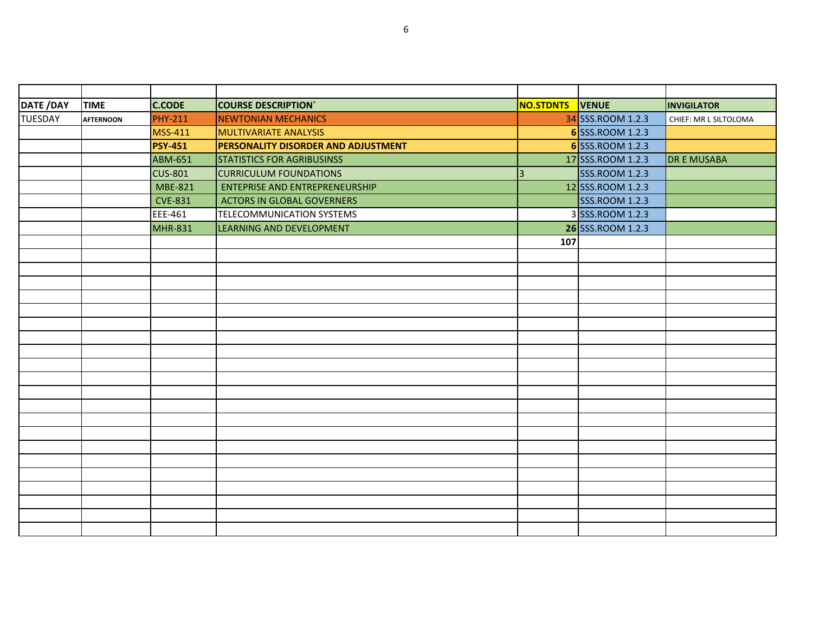| DATE /DAY      | <b>TIME</b>      | <b>C.CODE</b>  | <b>COURSE DESCRIPTION</b>                  | NO.STDNTS | <b>VENUE</b>          | <b>INVIGILATOR</b>    |
|----------------|------------------|----------------|--------------------------------------------|-----------|-----------------------|-----------------------|
| <b>TUESDAY</b> | <b>AFTERNOON</b> | <b>PHY-211</b> | <b>NEWTONIAN MECHANICS</b>                 |           | 34 SSS.ROOM 1.2.3     | CHIEF: MR L SILTOLOMA |
|                |                  | <b>MSS-411</b> | <b>MULTIVARIATE ANALYSIS</b>               |           | 6 SSS.ROOM 1.2.3      |                       |
|                |                  | <b>PSY-451</b> | <b>PERSONALITY DISORDER AND ADJUSTMENT</b> |           | 6 SSS.ROOM 1.2.3      |                       |
|                |                  | <b>ABM-651</b> | <b>STATISTICS FOR AGRIBUSINSS</b>          |           | 17 SSS.ROOM 1.2.3     | <b>DR E MUSABA</b>    |
|                |                  | <b>CUS-801</b> | <b>CURRICULUM FOUNDATIONS</b>              | 3         | <b>SSS.ROOM 1.2.3</b> |                       |
|                |                  | <b>MBE-821</b> | <b>ENTEPRISE AND ENTREPRENEURSHIP</b>      |           | 12 SSS.ROOM 1.2.3     |                       |
|                |                  | <b>CVE-831</b> | <b>ACTORS IN GLOBAL GOVERNERS</b>          |           | <b>SSS.ROOM 1.2.3</b> |                       |
|                |                  | EEE-461        | <b>TELECOMMUNICATION SYSTEMS</b>           |           | 3 SSS.ROOM 1.2.3      |                       |
|                |                  | <b>MHR-831</b> | LEARNING AND DEVELOPMENT                   |           | 26 SSS.ROOM 1.2.3     |                       |
|                |                  |                |                                            | 107       |                       |                       |
|                |                  |                |                                            |           |                       |                       |
|                |                  |                |                                            |           |                       |                       |
|                |                  |                |                                            |           |                       |                       |
|                |                  |                |                                            |           |                       |                       |
|                |                  |                |                                            |           |                       |                       |
|                |                  |                |                                            |           |                       |                       |
|                |                  |                |                                            |           |                       |                       |
|                |                  |                |                                            |           |                       |                       |
|                |                  |                |                                            |           |                       |                       |
|                |                  |                |                                            |           |                       |                       |
|                |                  |                |                                            |           |                       |                       |
|                |                  |                |                                            |           |                       |                       |
|                |                  |                |                                            |           |                       |                       |
|                |                  |                |                                            |           |                       |                       |
|                |                  |                |                                            |           |                       |                       |
|                |                  |                |                                            |           |                       |                       |
|                |                  |                |                                            |           |                       |                       |
|                |                  |                |                                            |           |                       |                       |
|                |                  |                |                                            |           |                       |                       |
|                |                  |                |                                            |           |                       |                       |
|                |                  |                |                                            |           |                       |                       |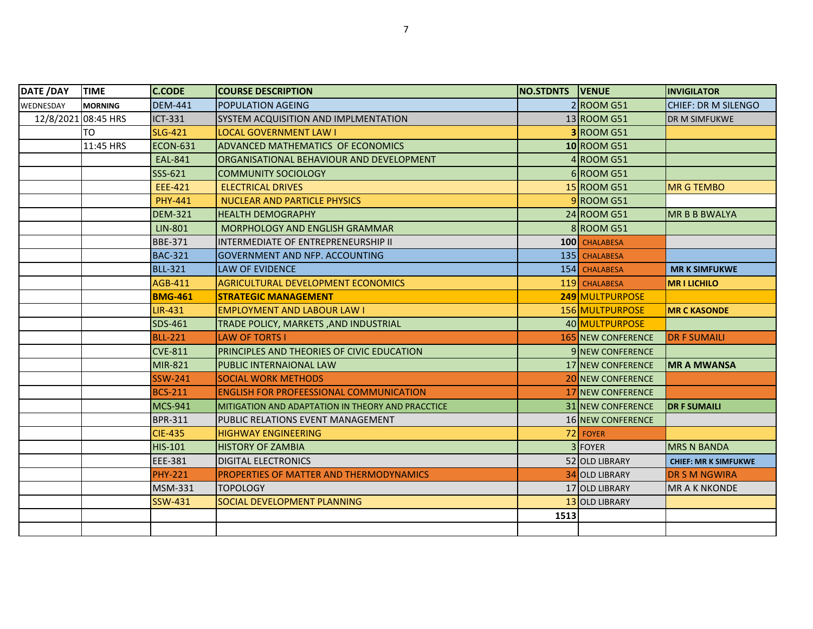| <b>DATE /DAY</b>    | <b>TIME</b>    | <b>C.CODE</b>  | <b>COURSE DESCRIPTION</b>                         | <b>NO.STDNTS VENUE</b> |                           | <b>INVIGILATOR</b>          |
|---------------------|----------------|----------------|---------------------------------------------------|------------------------|---------------------------|-----------------------------|
| WEDNESDAY           | <b>MORNING</b> | <b>DEM-441</b> | POPULATION AGEING                                 |                        | $2 $ ROOM G51             | <b>CHIEF: DR M SILENGO</b>  |
| 12/8/2021 08:45 HRS |                | ICT-331        | SYSTEM ACQUISITION AND IMPLMENTATION              |                        | 13 ROOM G51               | <b>DR M SIMFUKWE</b>        |
|                     | TO             | <b>SLG-421</b> | LOCAL GOVERNMENT LAW I                            |                        | <b>3 ROOM G51</b>         |                             |
|                     | 11:45 HRS      | ECON-631       | <b>ADVANCED MATHEMATICS OF ECONOMICS</b>          |                        | 10 ROOM G51               |                             |
|                     |                | <b>EAL-841</b> | ORGANISATIONAL BEHAVIOUR AND DEVELOPMENT          |                        | 4 ROOM G51                |                             |
|                     |                | SSS-621        | <b>COMMUNITY SOCIOLOGY</b>                        |                        | 6 ROOM G51                |                             |
|                     |                | EEE-421        | <b>ELECTRICAL DRIVES</b>                          |                        | 15 ROOM G51               | <b>MR G TEMBO</b>           |
|                     |                | <b>PHY-441</b> | NUCLEAR AND PARTICLE PHYSICS                      |                        | 9ROOM G51                 |                             |
|                     |                | <b>DEM-321</b> | <b>HEALTH DEMOGRAPHY</b>                          |                        | 24 ROOM G51               | <b>MR B B BWALYA</b>        |
|                     |                | <b>LIN-801</b> | <b>MORPHOLOGY AND ENGLISH GRAMMAR</b>             |                        | 8 ROOM G51                |                             |
|                     |                | BBE-371        | INTERMEDIATE OF ENTREPRENEURSHIP II               |                        | 100 CHALABESA             |                             |
|                     |                | <b>BAC-321</b> | <b>GOVERNMENT AND NFP. ACCOUNTING</b>             |                        | 135 CHALABESA             |                             |
|                     |                | <b>BLL-321</b> | <b>LAW OF EVIDENCE</b>                            |                        | 154 CHALABESA             | <b>MR K SIMFUKWE</b>        |
|                     |                | AGB-411        | AGRICULTURAL DEVELOPMENT ECONOMICS                |                        | 119 CHALABESA             | <b>MRILICHILO</b>           |
|                     |                | <b>BMG-461</b> | <b>STRATEGIC MANAGEMENT</b>                       |                        | 249 MULTPURPOSE           |                             |
|                     |                | <b>LIR-431</b> | <b>EMPLOYMENT AND LABOUR LAW I</b>                |                        | 156 MULTPURPOSE           | <b>MR C KASONDE</b>         |
|                     |                | SDS-461        | TRADE POLICY, MARKETS, AND INDUSTRIAL             |                        | 40 MULTPURPOSE            |                             |
|                     |                | <b>BLL-221</b> | <b>LAW OF TORTS I</b>                             |                        | <b>165 NEW CONFERENCE</b> | <b>DR F SUMAILI</b>         |
|                     |                | <b>CVE-811</b> | PRINCIPLES AND THEORIES OF CIVIC EDUCATION        |                        | <b>9 INEW CONFERENCE</b>  |                             |
|                     |                | MIR-821        | PUBLIC INTERNAIONAL LAW                           |                        | 17 NEW CONFERENCE         | <b>MR A MWANSA</b>          |
|                     |                | <b>SSW-241</b> | <b>SOCIAL WORK METHODS</b>                        |                        | <b>20 NEW CONFERENCE</b>  |                             |
|                     |                | <b>BCS-211</b> | <b>ENGLISH FOR PROFEESSIONAL COMMUNICATION</b>    |                        | <b>17 NEW CONFERENCE</b>  |                             |
|                     |                | <b>MCS-941</b> | MITIGATION AND ADAPTATION IN THEORY AND PRACCTICE |                        | 31 NEW CONFERENCE         | <b>DR F SUMAILI</b>         |
|                     |                | <b>BPR-311</b> | PUBLIC RELATIONS EVENT MANAGEMENT                 |                        | 16 NEW CONFERENCE         |                             |
|                     |                | <b>CIE-435</b> | <b>HIGHWAY ENGINEERING</b>                        |                        | 72 FOYER                  |                             |
|                     |                | <b>HIS-101</b> | <b>HISTORY OF ZAMBIA</b>                          |                        | 3 FOYER                   | <b>MRS N BANDA</b>          |
|                     |                | EEE-381        | <b>DIGITAL ELECTRONICS</b>                        |                        | 52 OLD LIBRARY            | <b>CHIEF: MR K SIMFUKWE</b> |
|                     |                | <b>PHY-221</b> | PROPERTIES OF MATTER AND THERMODYNAMICS           |                        | <b>34 OLD LIBRARY</b>     | <b>DR S M NGWIRA</b>        |
|                     |                | MSM-331        | <b>TOPOLOGY</b>                                   |                        | 17 OLD LIBRARY            | <b>MR A K NKONDE</b>        |
|                     |                | SSW-431        | SOCIAL DEVELOPMENT PLANNING                       |                        | 13 OLD LIBRARY            |                             |
|                     |                |                |                                                   | 1513                   |                           |                             |
|                     |                |                |                                                   |                        |                           |                             |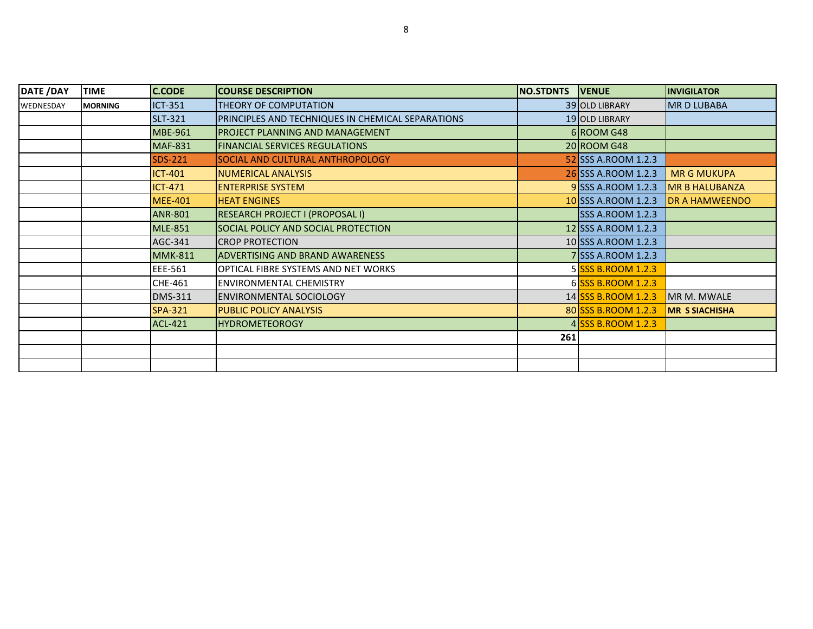| DATE /DAY | <b>TIME</b>    | <b>C.CODE</b>  | <b>COURSE DESCRIPTION</b>                         | NO.STDNTS | <b>VENUE</b>            | <b>INVIGILATOR</b>    |
|-----------|----------------|----------------|---------------------------------------------------|-----------|-------------------------|-----------------------|
| WEDNESDAY | <b>MORNING</b> | <b>ICT-351</b> | THEORY OF COMPUTATION                             |           | 39 OLD LIBRARY          | <b>MRD LUBABA</b>     |
|           |                | <b>SLT-321</b> | PRINCIPLES AND TECHNIQUES IN CHEMICAL SEPARATIONS |           | 19 OLD LIBRARY          |                       |
|           |                | <b>MBE-961</b> | <b>PROJECT PLANNING AND MANAGEMENT</b>            |           | 6 ROOM G48              |                       |
|           |                | <b>MAF-831</b> | <b>FINANCIAL SERVICES REGULATIONS</b>             |           | 20 ROOM G48             |                       |
|           |                | SDS-221        | <b>SOCIAL AND CULTURAL ANTHROPOLOGY</b>           |           | 52 SSS A.ROOM 1.2.3     |                       |
|           |                | <b>ICT-401</b> | NUMERICAL ANALYSIS                                |           | 26 SSS A.ROOM 1.2.3     | <b>MR G MUKUPA</b>    |
|           |                | ICT-471        | <b>ENTERPRISE SYSTEM</b>                          |           | 9 SSS A.ROOM 1.2.3      | <b>MR B HALUBANZA</b> |
|           |                | <b>MEE-401</b> | <b>HEAT ENGINES</b>                               |           | 10 SSS A.ROOM 1.2.3     | <b>DR A HAMWEENDO</b> |
|           |                | <b>ANR-801</b> | RESEARCH PROJECT I (PROPOSAL I)                   |           | <b>SSS A.ROOM 1.2.3</b> |                       |
|           |                | <b>MLE-851</b> | SOCIAL POLICY AND SOCIAL PROTECTION               |           | 12 SSS A.ROOM 1.2.3     |                       |
|           |                | AGC-341        | <b>CROP PROTECTION</b>                            |           | 10 SSS A.ROOM 1.2.3     |                       |
|           |                | <b>MMK-811</b> | <b>ADVERTISING AND BRAND AWARENESS</b>            |           | 7 SSS A.ROOM 1.2.3      |                       |
|           |                | EEE-561        | <b>IOPTICAL FIBRE SYSTEMS AND NET WORKS</b>       |           | 5 SSS B.ROOM 1.2.3      |                       |
|           |                | <b>CHE-461</b> | <b>ENVIRONMENTAL CHEMISTRY</b>                    |           | 6 SSS B.ROOM 1.2.3      |                       |
|           |                | <b>DMS-311</b> | <b>ENVIRONMENTAL SOCIOLOGY</b>                    |           | 14 SSS B.ROOM 1.2.3     | MR M. MWALE           |
|           |                | <b>SPA-321</b> | <b>PUBLIC POLICY ANALYSIS</b>                     |           | 80 SSS B.ROOM 1.2.3     | <b>MR S SIACHISHA</b> |
|           |                | <b>ACL-421</b> | <b>HYDROMETEOROGY</b>                             |           | 4 SSS B.ROOM 1.2.3      |                       |
|           |                |                |                                                   | 261       |                         |                       |
|           |                |                |                                                   |           |                         |                       |
|           |                |                |                                                   |           |                         |                       |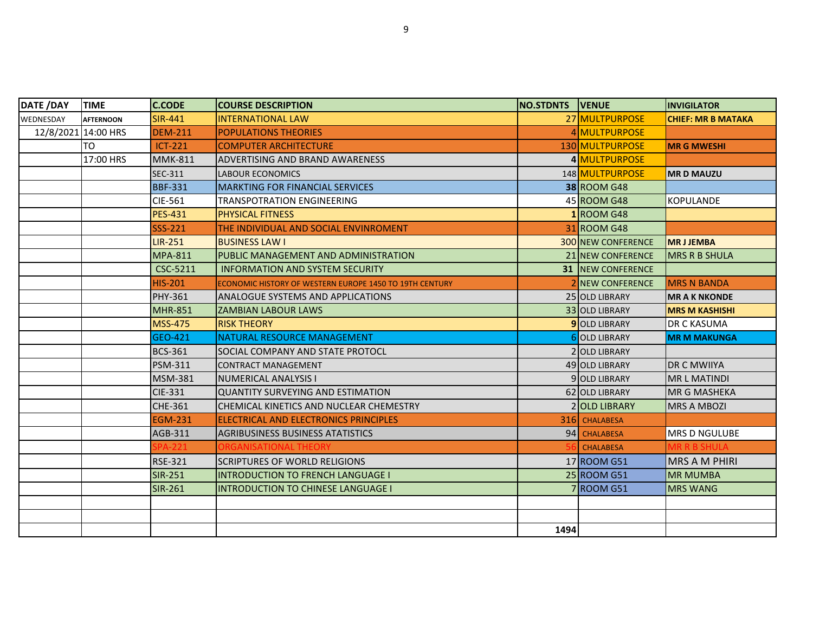| DATE /DAY | <b>TIME</b>         | <b>C.CODE</b>  | <b>COURSE DESCRIPTION</b>                               | <b>NO.STDNTS IVENUE</b> |                           | <b>INVIGILATOR</b>        |
|-----------|---------------------|----------------|---------------------------------------------------------|-------------------------|---------------------------|---------------------------|
| WEDNESDAY | <b>AFTERNOON</b>    | <b>SIR-441</b> | <b>INTERNATIONAL LAW</b>                                |                         | 27 MULTPURPOSE            | <b>CHIEF: MR B MATAKA</b> |
|           | 12/8/2021 14:00 HRS | <b>DEM-211</b> | <b>POPULATIONS THEORIES</b>                             |                         | 4 MULTPURPOSE             |                           |
|           | TO.                 | $ICT-221$      | <b>COMPUTER ARCHITECTURE</b>                            |                         | 130 MULTPURPOSE           | <b>MR G MWESHI</b>        |
|           | 17:00 HRS           | <b>MMK-811</b> | <b>ADVERTISING AND BRAND AWARENESS</b>                  |                         | 4 MULTPURPOSE             |                           |
|           |                     | SEC-311        | <b>LABOUR ECONOMICS</b>                                 |                         | 148 MULTPURPOSE           | <b>MRD MAUZU</b>          |
|           |                     | <b>BBF-331</b> | <b>MARKTING FOR FINANCIAL SERVICES</b>                  |                         | <b>38 ROOM G48</b>        |                           |
|           |                     | <b>CIE-561</b> | <b>TRANSPOTRATION ENGINEERING</b>                       |                         | 45 ROOM G48               | <b>KOPULANDE</b>          |
|           |                     | <b>PES-431</b> | <b>PHYSICAL FITNESS</b>                                 |                         | 1 ROOM G48                |                           |
|           |                     | <b>SSS-221</b> | THE INDIVIDUAL AND SOCIAL ENVINROMENT                   |                         | 31 ROOM G48               |                           |
|           |                     | <b>LIR-251</b> | <b>BUSINESS LAW I</b>                                   |                         | <b>300 NEW CONFERENCE</b> | <b>MRJJEMBA</b>           |
|           |                     | <b>MPA-811</b> | PUBLIC MANAGEMENT AND ADMINISTRATION                    |                         | 21 NEW CONFERENCE         | <b>MRS R B SHULA</b>      |
|           |                     | CSC-5211       | <b>INFORMATION AND SYSTEM SECURITY</b>                  |                         | <b>31 INEW CONFERENCE</b> |                           |
|           |                     | <b>HIS-201</b> | ECONOMIC HISTORY OF WESTERN EUROPE 1450 TO 19TH CENTURY |                         | <b>2INEW CONFERENCE</b>   | <b>MRS N BANDA</b>        |
|           |                     | PHY-361        | IANALOGUE SYSTEMS AND APPLICATIONS                      |                         | 25 OLD LIBRARY            | <b>MR A K NKONDE</b>      |
|           |                     | <b>MHR-851</b> | <b>ZAMBIAN LABOUR LAWS</b>                              |                         | 33 OLD LIBRARY            | <b>MRS M KASHISHI</b>     |
|           |                     | <b>MSS-475</b> | <b>RISK THEORY</b>                                      |                         | <b>9</b> OLD LIBRARY      | <b>DR C KASUMA</b>        |
|           |                     | GEO-421        | NATURAL RESOURCE MANAGEMENT                             |                         | 6 OLD LIBRARY             | <b>MR M MAKUNGA</b>       |
|           |                     | <b>BCS-361</b> | SOCIAL COMPANY AND STATE PROTOCL                        |                         | 2 OLD LIBRARY             |                           |
|           |                     | <b>PSM-311</b> | <b>CONTRACT MANAGEMENT</b>                              |                         | 49 OLD LIBRARY            | <b>DR C MWIIYA</b>        |
|           |                     | <b>MSM-381</b> | NUMERICAL ANALYSIS I                                    |                         | 9 OLD LIBRARY             | <b>MRL MATINDI</b>        |
|           |                     | CIE-331        | <b>QUANTITY SURVEYING AND ESTIMATION</b>                |                         | 62 OLD LIBRARY            | <b>MR G MASHEKA</b>       |
|           |                     | CHE-361        | ICHEMICAL KINETICS AND NUCLEAR CHEMESTRY                |                         | 2 OLD LIBRARY             | <b>MRS A MBOZI</b>        |
|           |                     | <b>EGM-231</b> | ELECTRICAL AND ELECTRONICS PRINCIPLES                   |                         | 316 CHALABESA             |                           |
|           |                     | AGB-311        | <b>AGRIBUSINESS BUSINESS ATATISTICS</b>                 |                         | 94 CHALABESA              | IMRS D NGULUBE            |
|           |                     | PA-221         | ORGANISATIONAL THEORY                                   |                         | <b>CHALABESA</b>          | <b>MR R B SHULA</b>       |
|           |                     | <b>RSE-321</b> | <b>SCRIPTURES OF WORLD RELIGIONS</b>                    |                         | 17 ROOM G51               | <b>MRS A M PHIRI</b>      |
|           |                     | <b>SIR-251</b> | <b>INTRODUCTION TO FRENCH LANGUAGE I</b>                |                         | 25 ROOM G51               | <b>MR MUMBA</b>           |
|           |                     | SIR-261        | <b>INTRODUCTION TO CHINESE LANGUAGE I</b>               |                         | 7 ROOM G51                | <b>MRS WANG</b>           |
|           |                     |                |                                                         |                         |                           |                           |
|           |                     |                |                                                         |                         |                           |                           |
|           |                     |                |                                                         | 1494                    |                           |                           |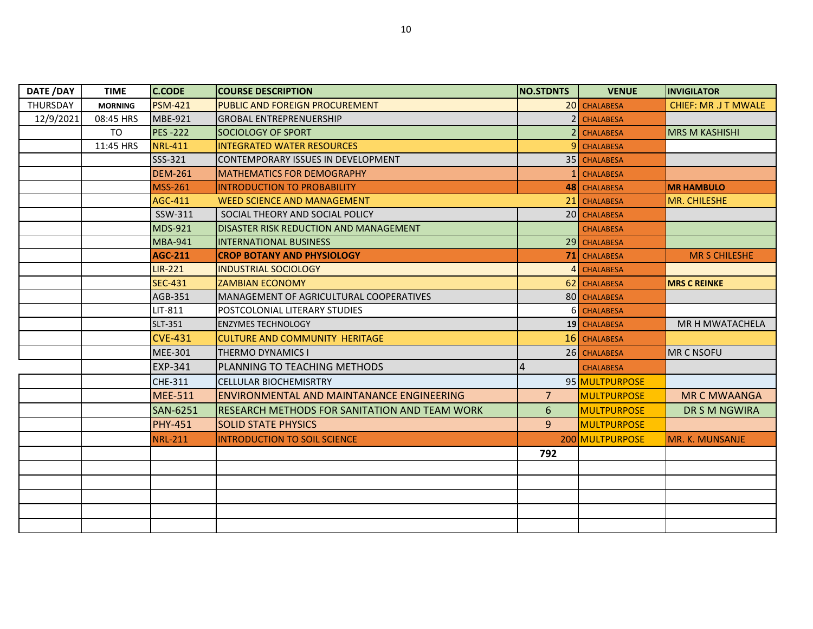| DATE /DAY | <b>TIME</b>    | <b>C.CODE</b>   | <b>COURSE DESCRIPTION</b>                            | NO.STDNTS      | <b>VENUE</b>       | <b>INVIGILATOR</b>          |
|-----------|----------------|-----------------|------------------------------------------------------|----------------|--------------------|-----------------------------|
| THURSDAY  | <b>MORNING</b> | <b>PSM-421</b>  | PUBLIC AND FOREIGN PROCUREMENT                       |                | 20 CHALABESA       | <b>CHIEF: MR .J T MWALE</b> |
| 12/9/2021 | 08:45 HRS      | MBE-921         | <b>GROBAL ENTREPRENUERSHIP</b>                       | 2 <sup>1</sup> | <b>CHALABESA</b>   |                             |
|           | <b>TO</b>      | <b>PES-222</b>  | SOCIOLOGY OF SPORT                                   | $\overline{2}$ | <b>CHALABESA</b>   | <b>MRS M KASHISHI</b>       |
|           | 11:45 HRS      | <b>NRL-411</b>  | <b>INTEGRATED WATER RESOURCES</b>                    | 9I             | <b>CHALABESA</b>   |                             |
|           |                | SSS-321         | CONTEMPORARY ISSUES IN DEVELOPMENT                   |                | 35 CHALABESA       |                             |
|           |                | <b>DEM-261</b>  | <b>MATHEMATICS FOR DEMOGRAPHY</b>                    |                | <b>CHALABESA</b>   |                             |
|           |                | <b>MSS-261</b>  | <b>INTRODUCTION TO PROBABILITY</b>                   |                | 48 CHALABESA       | <b>MR HAMBULO</b>           |
|           |                | AGC-411         | <b>WEED SCIENCE AND MANAGEMENT</b>                   | 21 I           | <b>CHALABESA</b>   | MR. CHILESHE                |
|           |                | SSW-311         | SOCIAL THEORY AND SOCIAL POLICY                      |                | 20 CHALABESA       |                             |
|           |                | <b>MDS-921</b>  | DISASTER RISK REDUCTION AND MANAGEMENT               |                | <b>CHALABESA</b>   |                             |
|           |                | <b>MBA-941</b>  | <b>INTERNATIONAL BUSINESS</b>                        |                | 29 CHALABESA       |                             |
|           |                | <b>AGC-211</b>  | <b>CROP BOTANY AND PHYSIOLOGY</b>                    |                | 71 CHALABESA       | <b>MR S CHILESHE</b>        |
|           |                | <b>LIR-221</b>  | <b>INDUSTRIAL SOCIOLOGY</b>                          | $\Delta$       | <b>CHALABESA</b>   |                             |
|           |                | <b>SEC-431</b>  | <b>ZAMBIAN ECONOMY</b>                               |                | 62 CHALABESA       | <b>MRS C REINKE</b>         |
|           |                | AGB-351         | MANAGEMENT OF AGRICULTURAL COOPERATIVES              |                | 80 CHALABESA       |                             |
|           |                | LIT-811         | POSTCOLONIAL LITERARY STUDIES                        | 6 <sup>1</sup> | <b>CHALABESA</b>   |                             |
|           |                | <b>SLT-351</b>  | <b>ENZYMES TECHNOLOGY</b>                            |                | 19 CHALABESA       | MR H MWATACHELA             |
|           |                | <b>CVE-431</b>  | <b>CULTURE AND COMMUNITY HERITAGE</b>                |                | 16 CHALABESA       |                             |
|           |                | <b>MEE-301</b>  | <b>THERMO DYNAMICS I</b>                             |                | 26 CHALABESA       | <b>MR C NSOFU</b>           |
|           |                | <b>EXP-341</b>  | PLANNING TO TEACHING METHODS                         |                | <b>CHALABESA</b>   |                             |
|           |                | CHE-311         | <b>CELLULAR BIOCHEMISRTRY</b>                        |                | 95 MULTPURPOSE     |                             |
|           |                | <b>MEE-511</b>  | ENVIRONMENTAL AND MAINTANANCE ENGINEERING            | $\overline{7}$ | <b>MULTPURPOSE</b> | <b>MR C MWAANGA</b>         |
|           |                | <b>SAN-6251</b> | <b>RESEARCH METHODS FOR SANITATION AND TEAM WORK</b> | 6              | <b>MULTPURPOSE</b> | DR S M NGWIRA               |
|           |                | <b>PHY-451</b>  | <b>SOLID STATE PHYSICS</b>                           | $\overline{9}$ | <b>MULTPURPOSE</b> |                             |
|           |                | <b>NRL-211</b>  | <b>INTRODUCTION TO SOIL SCIENCE</b>                  |                | 200 MULTPURPOSE    | MR. K. MUNSANJE             |
|           |                |                 |                                                      | 792            |                    |                             |
|           |                |                 |                                                      |                |                    |                             |
|           |                |                 |                                                      |                |                    |                             |
|           |                |                 |                                                      |                |                    |                             |
|           |                |                 |                                                      |                |                    |                             |
|           |                |                 |                                                      |                |                    |                             |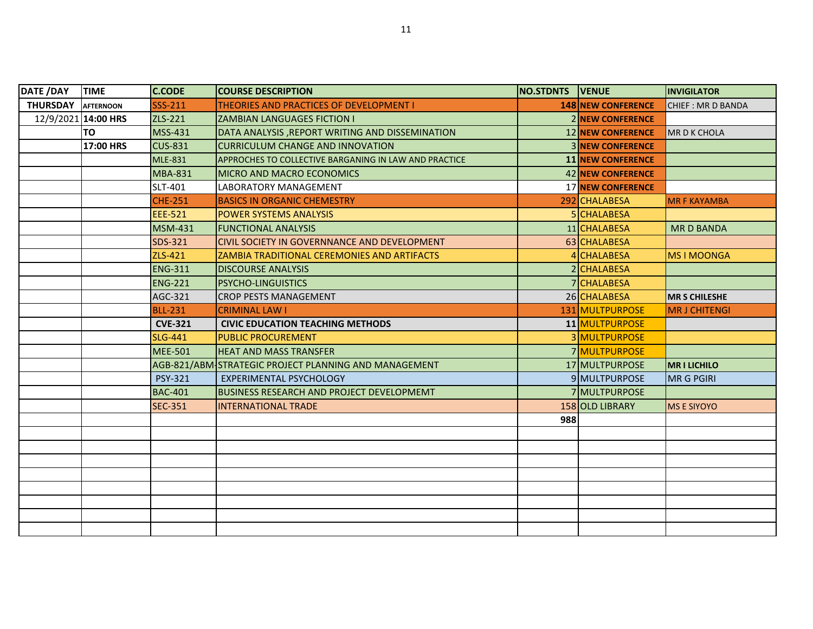| DATE /DAY           | <b>TIME</b>      | <b>C.CODE</b>  | <b>COURSE DESCRIPTION</b>                             | <b>NO.STDNTS VENUE</b> |                           | <b>INVIGILATOR</b>   |
|---------------------|------------------|----------------|-------------------------------------------------------|------------------------|---------------------------|----------------------|
| <b>THURSDAY</b>     | <b>AFTERNOON</b> | SSS-211        | <b>THEORIES AND PRACTICES OF DEVELOPMENT I</b>        |                        | <b>148 NEW CONFERENCE</b> | CHIEF: MR D BANDA    |
| 12/9/2021 14:00 HRS |                  | ZLS-221        | <b>ZAMBIAN LANGUAGES FICTION I</b>                    |                        | <b>2 NEW CONFERENCE</b>   |                      |
|                     | TO               | MSS-431        | DATA ANALYSIS, REPORT WRITING AND DISSEMINATION       |                        | <b>12 NEW CONFERENCE</b>  | <b>MR D K CHOLA</b>  |
|                     | 17:00 HRS        | <b>CUS-831</b> | <b>CURRICULUM CHANGE AND INNOVATION</b>               |                        | <b>3 NEW CONFERENCE</b>   |                      |
|                     |                  | <b>MLE-831</b> | APPROCHES TO COLLECTIVE BARGANING IN LAW AND PRACTICE |                        | <b>11 NEW CONFERENCE</b>  |                      |
|                     |                  | <b>MBA-831</b> | <b>IMICRO AND MACRO ECONOMICS</b>                     |                        | <b>42 NEW CONFERENCE</b>  |                      |
|                     |                  | SLT-401        | LABORATORY MANAGEMENT                                 |                        | <b>17 NEW CONFERENCE</b>  |                      |
|                     |                  | <b>CHE-251</b> | <b>BASICS IN ORGANIC CHEMESTRY</b>                    |                        | 292 CHALABESA             | <b>MR F KAYAMBA</b>  |
|                     |                  | EEE-521        | <b>IPOWER SYSTEMS ANALYSIS</b>                        |                        | 5 CHALABESA               |                      |
|                     |                  | <b>MSM-431</b> | <b>FUNCTIONAL ANALYSIS</b>                            |                        | 11 CHALABESA              | <b>MRD BANDA</b>     |
|                     |                  | SDS-321        | CIVIL SOCIETY IN GOVERNNANCE AND DEVELOPMENT          |                        | 63 CHALABESA              |                      |
|                     |                  | ZLS-421        | ZAMBIA TRADITIONAL CEREMONIES AND ARTIFACTS           |                        | 4 CHALABESA               | <b>MS I MOONGA</b>   |
|                     |                  | <b>ENG-311</b> | <b>DISCOURSE ANALYSIS</b>                             |                        | 2 CHALABESA               |                      |
|                     |                  | <b>ENG-221</b> | <b>PSYCHO-LINGUISTICS</b>                             |                        | 7 CHALABESA               |                      |
|                     |                  | AGC-321        | ICROP PESTS MANAGEMENT                                |                        | 26 CHALABESA              | <b>MR S CHILESHE</b> |
|                     |                  | <b>BLL-231</b> | <b>CRIMINAL LAW I</b>                                 |                        | 131 MULTPURPOSE           | <b>MR J CHITENGI</b> |
|                     |                  | <b>CVE-321</b> | <b>CIVIC EDUCATION TEACHING METHODS</b>               |                        | 11 MULTPURPOSE            |                      |
|                     |                  | <b>SLG-441</b> | <b>PUBLIC PROCUREMENT</b>                             |                        | 3 MULTPURPOSE             |                      |
|                     |                  | <b>MEE-501</b> | <b>HEAT AND MASS TRANSFER</b>                         |                        | 7 MULTPURPOSE             |                      |
|                     |                  |                | AGB-821/ABM STRATEGIC PROJECT PLANNING AND MANAGEMENT |                        | 17 MULTPURPOSE            | <b>MRILICHILO</b>    |
|                     |                  | PSY-321        | <b>EXPERIMENTAL PSYCHOLOGY</b>                        |                        | 9 MULTPURPOSE             | <b>MR G PGIRI</b>    |
|                     |                  | <b>BAC-401</b> | BUSINESS RESEARCH AND PROJECT DEVELOPMEMT             |                        | <b>7IMULTPURPOSE</b>      |                      |
|                     |                  | <b>SEC-351</b> | <b>INTERNATIONAL TRADE</b>                            |                        | 158 OLD LIBRARY           | <b>MS E SIYOYO</b>   |
|                     |                  |                |                                                       | 988                    |                           |                      |
|                     |                  |                |                                                       |                        |                           |                      |
|                     |                  |                |                                                       |                        |                           |                      |
|                     |                  |                |                                                       |                        |                           |                      |
|                     |                  |                |                                                       |                        |                           |                      |
|                     |                  |                |                                                       |                        |                           |                      |
|                     |                  |                |                                                       |                        |                           |                      |
|                     |                  |                |                                                       |                        |                           |                      |
|                     |                  |                |                                                       |                        |                           |                      |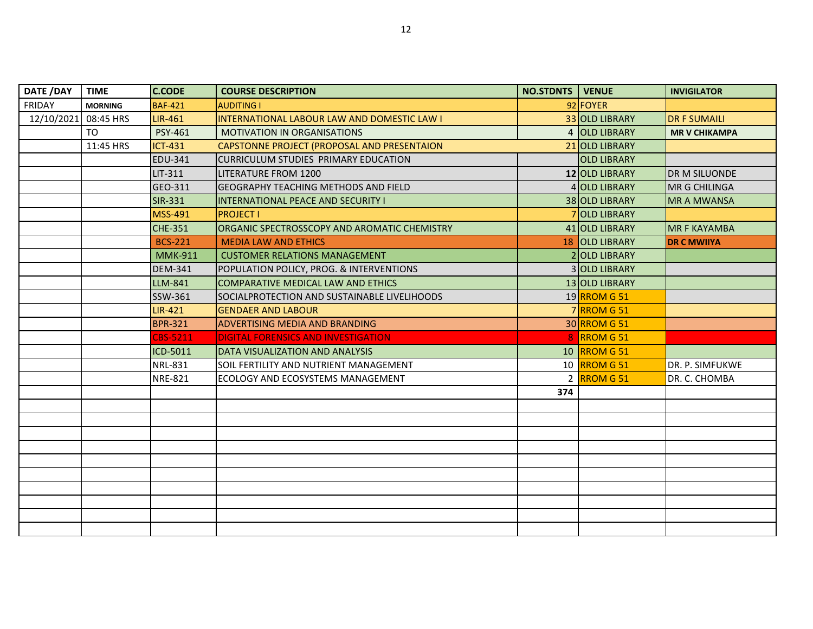| DATE /DAY  | <b>TIME</b>    | <b>C.CODE</b>  | <b>COURSE DESCRIPTION</b>                           | <b>NO.STDNTS</b> | <b>VENUE</b>          | <b>INVIGILATOR</b>   |
|------------|----------------|----------------|-----------------------------------------------------|------------------|-----------------------|----------------------|
| FRIDAY     | <b>MORNING</b> | <b>BAF-421</b> | <b>AUDITING I</b>                                   |                  | 92 FOYER              |                      |
| 12/10/2021 | 08:45 HRS      | LIR-461        | INTERNATIONAL LABOUR LAW AND DOMESTIC LAW I         |                  | 33 OLD LIBRARY        | <b>DR F SUMAILI</b>  |
|            | T <sub>O</sub> | <b>PSY-461</b> | <b>MOTIVATION IN ORGANISATIONS</b>                  |                  | 4 OLD LIBRARY         | <b>MR V CHIKAMPA</b> |
|            | 11:45 HRS      | <b>ICT-431</b> | CAPSTONNE PROJECT (PROPOSAL AND PRESENTAION         |                  | 21 OLD LIBRARY        |                      |
|            |                | EDU-341        | CURRICULUM STUDIES PRIMARY EDUCATION                |                  | <b>OLD LIBRARY</b>    |                      |
|            |                | LIT-311        | <b>LITERATURE FROM 1200</b>                         |                  | <b>12 OLD LIBRARY</b> | DR M SILUONDE        |
|            |                | GEO-311        | <b>IGEOGRAPHY TEACHING METHODS AND FIELD</b>        |                  | 4 OLD LIBRARY         | <b>MR G CHILINGA</b> |
|            |                | SIR-331        | <b>INTERNATIONAL PEACE AND SECURITY I</b>           |                  | 38 OLD LIBRARY        | <b>MR A MWANSA</b>   |
|            |                | <b>MSS-491</b> | <b>PROJECT I</b>                                    |                  | 7 OLD LIBRARY         |                      |
|            |                | <b>CHE-351</b> | <b>ORGANIC SPECTROSSCOPY AND AROMATIC CHEMISTRY</b> |                  | 41 OLD LIBRARY        | <b>MR F KAYAMBA</b>  |
|            |                | <b>BCS-221</b> | <b>MEDIA LAW AND ETHICS</b>                         |                  | 18 OLD LIBRARY        | <b>DR C MWIIYA</b>   |
|            |                | <b>MMK-911</b> | <b>CUSTOMER RELATIONS MANAGEMENT</b>                |                  | 2 OLD LIBRARY         |                      |
|            |                | DEM-341        | POPULATION POLICY, PROG. & INTERVENTIONS            |                  | 3 OLD LIBRARY         |                      |
|            |                | LLM-841        | COMPARATIVE MEDICAL LAW AND ETHICS                  |                  | 13 OLD LIBRARY        |                      |
|            |                | SSW-361        | SOCIALPROTECTION AND SUSTAINABLE LIVELIHOODS        |                  | 19 RROM G 51          |                      |
|            |                | <b>LIR-421</b> | <b>GENDAER AND LABOUR</b>                           |                  | 7RROM G51             |                      |
|            |                | <b>BPR-321</b> | <b>ADVERTISING MEDIA AND BRANDING</b>               |                  | 30 RROM G 51          |                      |
|            |                | CBS-5211       | DIGITAL FORENSICS AND INVESTIGATION                 |                  | 8 RROM G 51           |                      |
|            |                | ICD-5011       | DATA VISUALIZATION AND ANALYSIS                     |                  | 10 RROM G 51          |                      |
|            |                | <b>NRL-831</b> | SOIL FERTILITY AND NUTRIENT MANAGEMENT              |                  | 10 RROM G 51          | DR. P. SIMFUKWE      |
|            |                | <b>NRE-821</b> | ECOLOGY AND ECOSYSTEMS MANAGEMENT                   |                  | 2 RROM G 51           | DR. C. CHOMBA        |
|            |                |                |                                                     | 374              |                       |                      |
|            |                |                |                                                     |                  |                       |                      |
|            |                |                |                                                     |                  |                       |                      |
|            |                |                |                                                     |                  |                       |                      |
|            |                |                |                                                     |                  |                       |                      |
|            |                |                |                                                     |                  |                       |                      |
|            |                |                |                                                     |                  |                       |                      |
|            |                |                |                                                     |                  |                       |                      |
|            |                |                |                                                     |                  |                       |                      |
|            |                |                |                                                     |                  |                       |                      |
|            |                |                |                                                     |                  |                       |                      |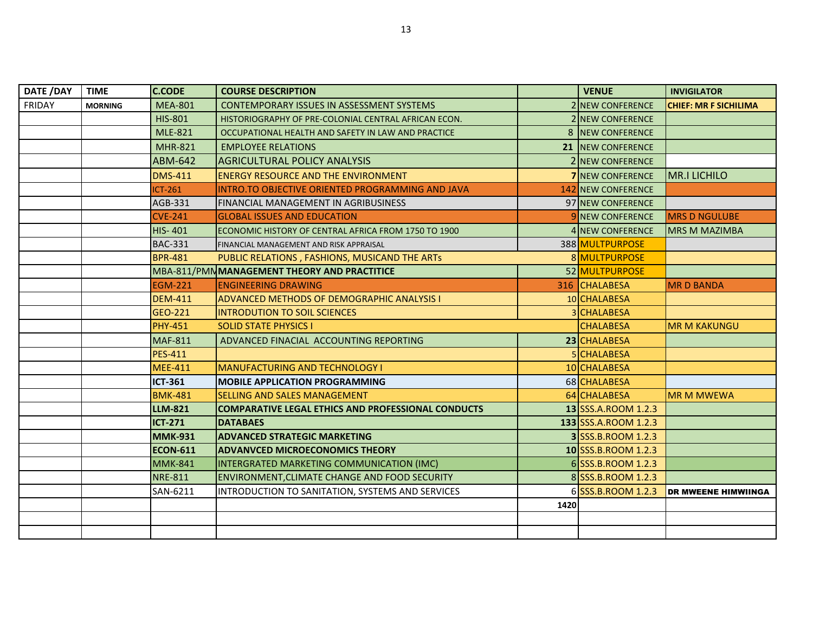| DATE /DAY | <b>TIME</b>    | <b>C.CODE</b>   | <b>COURSE DESCRIPTION</b>                                 |      | <b>VENUE</b>            | <b>INVIGILATOR</b>           |
|-----------|----------------|-----------------|-----------------------------------------------------------|------|-------------------------|------------------------------|
| FRIDAY    | <b>MORNING</b> | <b>MEA-801</b>  | <b>CONTEMPORARY ISSUES IN ASSESSMENT SYSTEMS</b>          |      | 2 NEW CONFERENCE        | <b>CHIEF: MR F SICHILIMA</b> |
|           |                | <b>HIS-801</b>  | HISTORIOGRAPHY OF PRE-COLONIAL CENTRAL AFRICAN ECON.      |      | 2 NEW CONFERENCE        |                              |
|           |                | <b>MLE-821</b>  | OCCUPATIONAL HEALTH AND SAFETY IN LAW AND PRACTICE        |      | 8 NEW CONFERENCE        |                              |
|           |                | <b>MHR-821</b>  | <b>EMPLOYEE RELATIONS</b>                                 |      | 21 NEW CONFERENCE       |                              |
|           |                | ABM-642         | AGRICULTURAL POLICY ANALYSIS                              |      | 2 NEW CONFERENCE        |                              |
|           |                | <b>DMS-411</b>  | <b>IENERGY RESOURCE AND THE ENVIRONMENT</b>               |      | <b>7</b> NEW CONFERENCE | <b>MR.I LICHILO</b>          |
|           |                | ICT-261         | INTRO.TO OBJECTIVE ORIENTED PROGRAMMING AND JAVA          |      | 142 NEW CONFERENCE      |                              |
|           |                | AGB-331         | <b>FINANCIAL MANAGEMENT IN AGRIBUSINESS</b>               |      | 97 NEW CONFERENCE       |                              |
|           |                | <b>CVE-241</b>  | <b>GLOBAL ISSUES AND EDUCATION</b>                        |      | 9 NEW CONFERENCE        | <b>MRS D NGULUBE</b>         |
|           |                | <b>HIS-401</b>  | ECONOMIC HISTORY OF CENTRAL AFRICA FROM 1750 TO 1900      |      | 4 NEW CONFERENCE        | <b>MRS M MAZIMBA</b>         |
|           |                | <b>BAC-331</b>  | FINANCIAL MANAGEMENT AND RISK APPRAISAL                   |      | 388 MULTPURPOSE         |                              |
|           |                | <b>BPR-481</b>  | PUBLIC RELATIONS, FASHIONS, MUSICAND THE ARTS             |      | 8 MULTPURPOSE           |                              |
|           |                |                 | MBA-811/PMN MANAGEMENT THEORY AND PRACTITICE              |      | 52 MULTPURPOSE          |                              |
|           |                | <b>EGM-221</b>  | <b>ENGINEERING DRAWING</b>                                |      | 316 CHALABESA           | <b>MR D BANDA</b>            |
|           |                | <b>DEM-411</b>  | <b>ADVANCED METHODS OF DEMOGRAPHIC ANALYSIS I</b>         |      | 10 CHALABESA            |                              |
|           |                | GEO-221         | <b>INTRODUTION TO SOIL SCIENCES</b>                       |      | 3 CHALABESA             |                              |
|           |                | <b>PHY-451</b>  | <b>SOLID STATE PHYSICS I</b>                              |      | <b>CHALABESA</b>        | <b>MR M KAKUNGU</b>          |
|           |                | <b>MAF-811</b>  | ADVANCED FINACIAL ACCOUNTING REPORTING                    |      | 23 CHALABESA            |                              |
|           |                | <b>PES-411</b>  |                                                           |      | 5 CHALABESA             |                              |
|           |                | <b>MEE-411</b>  | <b>MANUFACTURING AND TECHNOLOGY I</b>                     |      | 10 CHALABESA            |                              |
|           |                | <b>ICT-361</b>  | <b>IMOBILE APPLICATION PROGRAMMING</b>                    |      | 68 CHALABESA            |                              |
|           |                | <b>BMK-481</b>  | <b>SELLING AND SALES MANAGEMENT</b>                       |      | 64 CHALABESA            | <b>MR M MWEWA</b>            |
|           |                | <b>LLM-821</b>  | <b>COMPARATIVE LEGAL ETHICS AND PROFESSIONAL CONDUCTS</b> |      | 13 SSS.A.ROOM 1.2.3     |                              |
|           |                | <b>ICT-271</b>  | <b>DATABAES</b>                                           |      | 133 SSS.A.ROOM 1.2.3    |                              |
|           |                | <b>MMK-931</b>  | <b>ADVANCED STRATEGIC MARKETING</b>                       |      | 3 SSS.B.ROOM 1.2.3      |                              |
|           |                | <b>ECON-611</b> | <b>ADVANVCED MICROECONOMICS THEORY</b>                    |      | 10 SSS.B.ROOM 1.2.3     |                              |
|           |                | <b>MMK-841</b>  | INTERGRATED MARKETING COMMUNICATION (IMC)                 |      | 6 SSS.B.ROOM 1.2.3      |                              |
|           |                | <b>NRE-811</b>  | <b>ENVIRONMENT, CLIMATE CHANGE AND FOOD SECURITY</b>      |      | 8 SSS.B.ROOM 1.2.3      |                              |
|           |                | SAN-6211        | INTRODUCTION TO SANITATION, SYSTEMS AND SERVICES          |      | 6 SSS.B.ROOM 1.2.3      | <b>DR MWEENE HIMWIINGA</b>   |
|           |                |                 |                                                           | 1420 |                         |                              |
|           |                |                 |                                                           |      |                         |                              |
|           |                |                 |                                                           |      |                         |                              |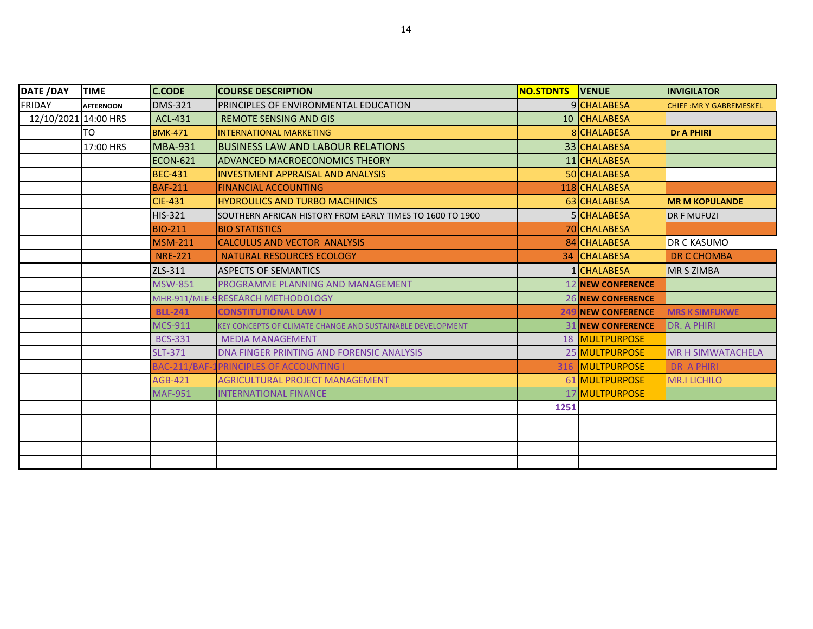| <b>DATE /DAY</b>     | <b>TIME</b>      | <b>C.CODE</b>   | <b>COURSE DESCRIPTION</b>                                         | <b>NO.STDNTS</b> | <b>IVENUE</b>              | <b>INVIGILATOR</b>             |
|----------------------|------------------|-----------------|-------------------------------------------------------------------|------------------|----------------------------|--------------------------------|
| <b>FRIDAY</b>        | <b>AFTERNOON</b> | <b>DMS-321</b>  | <b>IPRINCIPLES OF ENVIRONMENTAL EDUCATION</b>                     |                  | 9 CHALABESA                | <b>CHIEF: MR Y GABREMESKEL</b> |
| 12/10/2021 14:00 HRS |                  | ACL-431         | <b>REMOTE SENSING AND GIS</b>                                     |                  | 10 CHALABESA               |                                |
|                      | TO               | <b>BMK-471</b>  | <b>INTERNATIONAL MARKETING</b>                                    |                  | 8 CHALABESA                | <b>Dr A PHIRI</b>              |
|                      | 17:00 HRS        | <b>MBA-931</b>  | <b>IBUSINESS LAW AND LABOUR RELATIONS</b>                         |                  | 33 CHALABESA               |                                |
|                      |                  | <b>ECON-621</b> | <b>JADVANCED MACROECONOMICS THEORY</b>                            |                  | 11 CHALABESA               |                                |
|                      |                  | <b>BEC-431</b>  | <b>INVESTMENT APPRAISAL AND ANALYSIS</b>                          |                  | 50 CHALABESA               |                                |
|                      |                  | <b>BAF-211</b>  | <b>FINANCIAL ACCOUNTING</b>                                       |                  | 118 CHALABESA              |                                |
|                      |                  | <b>CIE-431</b>  | <b>HYDROULICS AND TURBO MACHINICS</b>                             |                  | 63 CHALABESA               | <b>MR M KOPULANDE</b>          |
|                      |                  | <b>HIS-321</b>  | <b>ISOUTHERN AFRICAN HISTORY FROM EARLY TIMES TO 1600 TO 1900</b> |                  | 5 CHALABESA                | <b>DR F MUFUZI</b>             |
|                      |                  | <b>BIO-211</b>  | <b>BIO STATISTICS</b>                                             |                  | <b>70 CHALABESA</b>        |                                |
|                      |                  | <b>MSM-211</b>  | <b>CALCULUS AND VECTOR ANALYSIS</b>                               |                  | 84 CHALABESA               | DR C KASUMO                    |
|                      |                  | <b>NRE-221</b>  | NATURAL RESOURCES ECOLOGY                                         |                  | <b>34 CHALABESA</b>        | <b>DR C CHOMBA</b>             |
|                      |                  | ZLS-311         | <b>IASPECTS OF SEMANTICS</b>                                      |                  | 1 CHALABESA                | <b>MR S ZIMBA</b>              |
|                      |                  | <b>MSW-851</b>  | <b>PROGRAMME PLANNING AND MANAGEMENT</b>                          |                  | <b>12 NEW CONFERENCE</b>   |                                |
|                      |                  |                 | MHR-911/MLE-9RESEARCH METHODOLOGY                                 |                  | <b>26 NEW CONFERENCE</b>   |                                |
|                      |                  | <b>BLL-241</b>  | <b>CONSTITUTIONAL LAW I</b>                                       |                  | <b>249 INEW CONFERENCE</b> | <b>MRS K SIMFUKWE</b>          |
|                      |                  | <b>MCS-911</b>  | KEY CONCEPTS OF CLIMATE CHANGE AND SUSTAINABLE DEVELOPMENT        |                  | <b>31 NEW CONFERENCE</b>   | <b>DR. A PHIRI</b>             |
|                      |                  | <b>BCS-331</b>  | <b>MEDIA MANAGEMENT</b>                                           |                  | 18 MULTPURPOSE             |                                |
|                      |                  | <b>SLT-371</b>  | DNA FINGER PRINTING AND FORENSIC ANALYSIS                         |                  | 25 MULTPURPOSE             | <b>MR H SIMWATACHELA</b>       |
|                      |                  |                 | BAC-211/BAF-1PRINCIPLES OF ACCOUNTING I                           |                  | 316 MULTPURPOSE            | <b>DR A PHIRI</b>              |
|                      |                  | <b>AGB-421</b>  | AGRICULTURAL PROJECT MANAGEMENT                                   |                  | 61 MULTPURPOSE             | <b>MR.I LICHILO</b>            |
|                      |                  | <b>MAF-951</b>  | <b>INTERNATIONAL FINANCE</b>                                      |                  | <b>17 MULTPURPOSE</b>      |                                |
|                      |                  |                 |                                                                   | 1251             |                            |                                |
|                      |                  |                 |                                                                   |                  |                            |                                |
|                      |                  |                 |                                                                   |                  |                            |                                |
|                      |                  |                 |                                                                   |                  |                            |                                |
|                      |                  |                 |                                                                   |                  |                            |                                |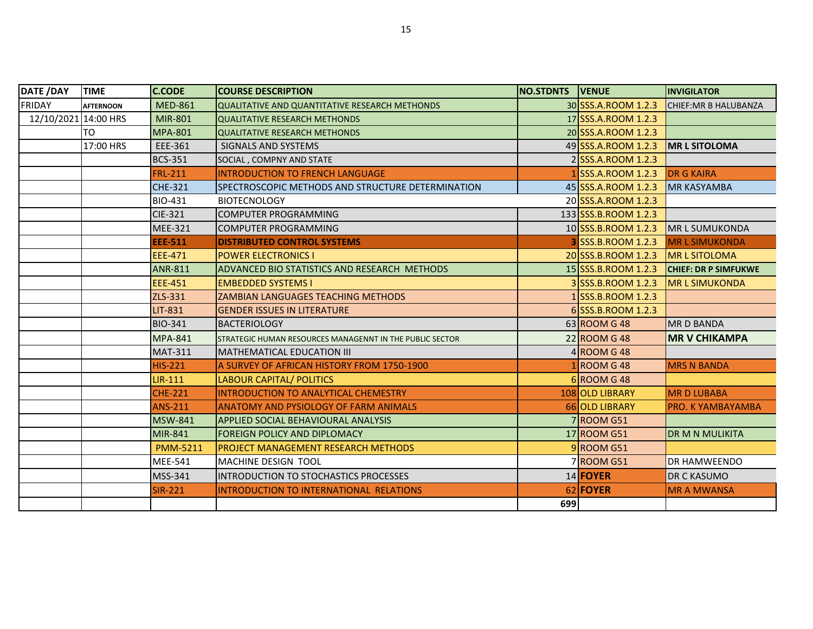| <b>DATE /DAY</b>     | <b>TIME</b>      | <b>C.CODE</b>   | <b>ICOURSE DESCRIPTION</b>                                        | <b>NO.STDNTS VENUE</b> |                      | <b>INVIGILATOR</b>          |
|----------------------|------------------|-----------------|-------------------------------------------------------------------|------------------------|----------------------|-----------------------------|
| <b>FRIDAY</b>        | <b>AFTERNOON</b> | <b>MED-861</b>  | QUALITATIVE AND QUANTITATIVE RESEARCH METHONDS                    |                        | 30 SSS.A.ROOM 1.2.3  | CHIEF: MR B HALUBANZA       |
| 12/10/2021 14:00 HRS |                  | MIR-801         | <b>QUALITATIVE RESEARCH METHONDS</b>                              |                        | 17 SSS.A.ROOM 1.2.3  |                             |
|                      | TO               | <b>MPA-801</b>  | <b>QUALITATIVE RESEARCH METHONDS</b>                              |                        | 20 SSS.A.ROOM 1.2.3  |                             |
|                      | 17:00 HRS        | EEE-361         | SIGNALS AND SYSTEMS                                               |                        | 49 SSS.A.ROOM 1.2.3  | <b>IMR L SITOLOMA</b>       |
|                      |                  | <b>BCS-351</b>  | SOCIAL, COMPNY AND STATE                                          |                        | 2 SSS.A.ROOM 1.2.3   |                             |
|                      |                  | <b>FRL-211</b>  | <b>INTRODUCTION TO FRENCH LANGUAGE</b>                            |                        | 1 SSS.A.ROOM 1.2.3   | <b>DR G KAIRA</b>           |
|                      |                  | <b>CHE-321</b>  | ISPECTROSCOPIC METHODS AND STRUCTURE DETERMINATION                |                        | 45 SSS.A.ROOM 1.2.3  | <b>MR KASYAMBA</b>          |
|                      |                  | <b>BIO-431</b>  | <b>BIOTECNOLOGY</b>                                               |                        | 20 SSS.A.ROOM 1.2.3  |                             |
|                      |                  | <b>CIE-321</b>  | <b>COMPUTER PROGRAMMING</b>                                       |                        | 133 SSS.B.ROOM 1.2.3 |                             |
|                      |                  | <b>MEE-321</b>  | <b>COMPUTER PROGRAMMING</b>                                       |                        | 10 SSS.B.ROOM 1.2.3  | <b>IMR L SUMUKONDA</b>      |
|                      |                  | <b>EEE-511</b>  | <b>DISTRIBUTED CONTROL SYSTEMS</b>                                |                        | 3 SSS.B.ROOM 1.2.3   | <b>MRL SIMUKONDA</b>        |
|                      |                  | EEE-471         | <b>POWER ELECTRONICS I</b>                                        |                        | 20 SSS.B.ROOM 1.2.3  | <b>IMR L SITOLOMA</b>       |
|                      |                  | <b>ANR-811</b>  | <b>ADVANCED BIO STATISTICS AND RESEARCH METHODS</b>               |                        | 15 SSS.B.ROOM 1.2.3  | <b>CHIEF: DR P SIMFUKWE</b> |
|                      |                  | <b>EEE-451</b>  | <b>EMBEDDED SYSTEMS I</b>                                         |                        | 3 SSS.B.ROOM 1.2.3   | <b>IMR L SIMUKONDA</b>      |
|                      |                  | ZLS-331         | <b>ZAMBIAN LANGUAGES TEACHING METHODS</b>                         |                        | 1 SSS.B.ROOM 1.2.3   |                             |
|                      |                  | LIT-831         | <b>GENDER ISSUES IN LITERATURE</b>                                |                        | 6 SSS.B.ROOM 1.2.3   |                             |
|                      |                  | <b>BIO-341</b>  | <b>IBACTERIOLOGY</b>                                              |                        | 63 ROOM G 48         | <b>MRD BANDA</b>            |
|                      |                  | <b>MPA-841</b>  | <b>I</b> STRATEGIC HUMAN RESOURCES MANAGENNT IN THE PUBLIC SECTOR |                        | 22 ROOM G 48         | <b>MR V CHIKAMPA</b>        |
|                      |                  | <b>MAT-311</b>  | MATHEMATICAL EDUCATION III                                        |                        | 4 ROOM G 48          |                             |
|                      |                  | HIS-221         | A SURVEY OF AFRICAN HISTORY FROM 1750-1900                        |                        | 1 ROOM G 48          | <b>MRS N BANDA</b>          |
|                      |                  | <b>LIR-111</b>  | <b>LABOUR CAPITAL/ POLITICS</b>                                   |                        | 6 ROOM G 48          |                             |
|                      |                  | <b>CHE-221</b>  | INTRODUCTION TO ANALYTICAL CHEMESTRY                              |                        | 108 OLD LIBRARY      | <b>MRD LUBABA</b>           |
|                      |                  | <b>ANS-211</b>  | <b>ANATOMY AND PYSIOLOGY OF FARM ANIMALS</b>                      |                        | 66 OLD LIBRARY       | <b>PRO. KYAMBAYAMBA</b>     |
|                      |                  | <b>MSW-841</b>  | <b>APPLIED SOCIAL BEHAVIOURAL ANALYSIS</b>                        |                        | <b>7 ROOM G51</b>    |                             |
|                      |                  | <b>MIR-841</b>  | <b>FOREIGN POLICY AND DIPLOMACY</b>                               |                        | 17 ROOM G51          | <b>DR M N MULIKITA</b>      |
|                      |                  | <b>PMM-5211</b> | <b>PROJECT MANAGEMENT RESEARCH METHODS</b>                        |                        | 9ROOM G51            |                             |
|                      |                  | <b>MEE-541</b>  | <b>IMACHINE DESIGN TOOL</b>                                       |                        | 7 ROOM G51           | DR HAMWEENDO                |
|                      |                  | MSS-341         | <b>IINTRODUCTION TO STOCHASTICS PROCESSES</b>                     |                        | 14 FOYER             | DR C KASUMO                 |
|                      |                  | <b>SIR-221</b>  | INTRODUCTION TO INTERNATIONAL RELATIONS                           |                        | 62 FOYER             | <b>MR A MWANSA</b>          |
|                      |                  |                 |                                                                   | 699                    |                      |                             |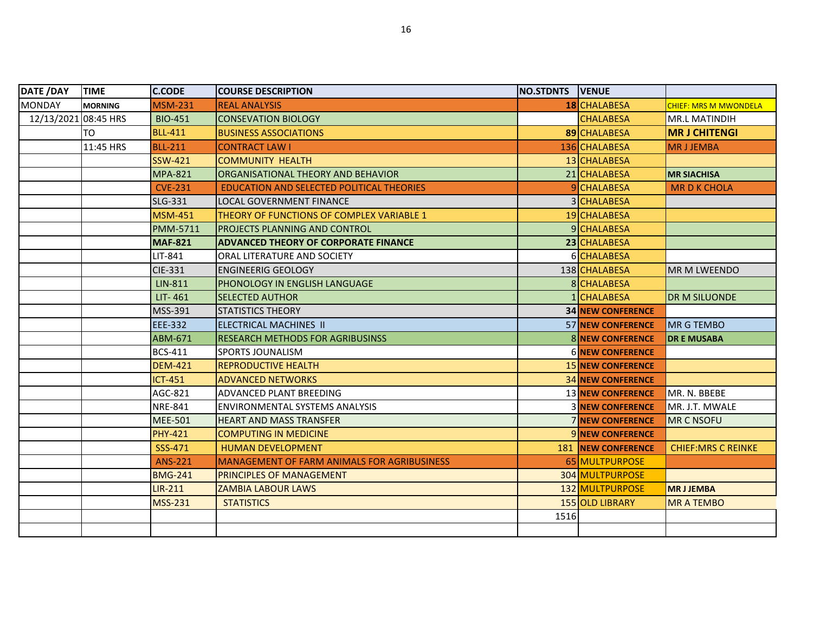| <b>DATE /DAY</b>     | <b>TIME</b>    | <b>C.CODE</b>   | <b>COURSE DESCRIPTION</b>                          | NO.STDNTS VENUE |                            |                              |
|----------------------|----------------|-----------------|----------------------------------------------------|-----------------|----------------------------|------------------------------|
| <b>MONDAY</b>        | <b>MORNING</b> | <b>MSM-231</b>  | <b>REAL ANALYSIS</b>                               |                 | 18 CHALABESA               | <b>CHIEF: MRS M MWONDELA</b> |
| 12/13/2021 08:45 HRS |                | <b>BIO-451</b>  | <b>CONSEVATION BIOLOGY</b>                         |                 | <b>CHALABESA</b>           | <b>MR.L MATINDIH</b>         |
|                      | TO             | <b>BLL-411</b>  | <b>BUSINESS ASSOCIATIONS</b>                       |                 | 89 CHALABESA               | <b>MR J CHITENGI</b>         |
|                      | 11:45 HRS      | <b>BLL-211</b>  | <b>CONTRACT LAW I</b>                              |                 | 136 CHALABESA              | <b>MRJJEMBA</b>              |
|                      |                | <b>SSW-421</b>  | <b>COMMUNITY HEALTH</b>                            |                 | 13 CHALABESA               |                              |
|                      |                | <b>MPA-821</b>  | ORGANISATIONAL THEORY AND BEHAVIOR                 |                 | 21 CHALABESA               | <b>MR SIACHISA</b>           |
|                      |                | <b>CVE-231</b>  | EDUCATION AND SELECTED POLITICAL THEORIES          |                 | 9 CHALABESA                | <b>MR D K CHOLA</b>          |
|                      |                | <b>SLG-331</b>  | LOCAL GOVERNMENT FINANCE                           |                 | 3 CHALABESA                |                              |
|                      |                | <b>MSM-451</b>  | THEORY OF FUNCTIONS OF COMPLEX VARIABLE 1          |                 | 19 CHALABESA               |                              |
|                      |                | <b>PMM-5711</b> | <b>IPROJECTS PLANNING AND CONTROL</b>              |                 | 9CHALABESA                 |                              |
|                      |                | <b>MAF-821</b>  | <b>ADVANCED THEORY OF CORPORATE FINANCE</b>        |                 | 23 CHALABESA               |                              |
|                      |                | LIT-841         | ORAL LITERATURE AND SOCIETY                        |                 | 6 CHALABESA                |                              |
|                      |                | CIE-331         | <b>ENGINEERIG GEOLOGY</b>                          |                 | 138 CHALABESA              | MR M LWEENDO                 |
|                      |                | LIN-811         | <b>PHONOLOGY IN ENGLISH LANGUAGE</b>               |                 | 8 CHALABESA                |                              |
|                      |                | LIT-461         | <b>SELECTED AUTHOR</b>                             |                 | 1 CHALABESA                | DR M SILUONDE                |
|                      |                | MSS-391         | <b>STATISTICS THEORY</b>                           |                 | <b>34 NEW CONFERENCE</b>   |                              |
|                      |                | <b>EEE-332</b>  | <b>IELECTRICAL MACHINES II</b>                     |                 | <b>57 NEW CONFERENCE</b>   | <b>MR G TEMBO</b>            |
|                      |                | ABM-671         | <b>RESEARCH METHODS FOR AGRIBUSINSS</b>            |                 | <b>8 NEW CONFERENCE</b>    | <b>DR E MUSABA</b>           |
|                      |                | <b>BCS-411</b>  | <b>SPORTS JOUNALISM</b>                            |                 | <b>6 NEW CONFERENCE</b>    |                              |
|                      |                | <b>DEM-421</b>  | <b>REPRODUCTIVE HEALTH</b>                         |                 | <b>15 NEW CONFERENCE</b>   |                              |
|                      |                | <b>ICT-451</b>  | <b>ADVANCED NETWORKS</b>                           |                 | <b>34 NEW CONFERENCE</b>   |                              |
|                      |                | AGC-821         | <b>ADVANCED PLANT BREEDING</b>                     |                 | <b>13 NEW CONFERENCE</b>   | MR. N. BBEBE                 |
|                      |                | <b>NRE-841</b>  | <b>ENVIRONMENTAL SYSTEMS ANALYSIS</b>              |                 | <b>3 NEW CONFERENCE</b>    | MR. J.T. MWALE               |
|                      |                | <b>MEE-501</b>  | <b>HEART AND MASS TRANSFER</b>                     |                 | <b>7 NEW CONFERENCE</b>    | <b>MR C NSOFU</b>            |
|                      |                | <b>PHY-421</b>  | <b>COMPUTING IN MEDICINE</b>                       |                 | 9 NEW CONFERENCE           |                              |
|                      |                | SSS-471         | <b>HUMAN DEVELOPMENT</b>                           |                 | <b>181 INEW CONFERENCE</b> | <b>CHIEF: MRS C REINKE</b>   |
|                      |                | <b>ANS-221</b>  | <b>MANAGEMENT OF FARM ANIMALS FOR AGRIBUSINESS</b> |                 | 65 MULTPURPOSE             |                              |
|                      |                | <b>BMG-241</b>  | <b>PRINCIPLES OF MANAGEMENT</b>                    |                 | 304 MULTPURPOSE            |                              |
|                      |                | <b>LIR-211</b>  | <b>ZAMBIA LABOUR LAWS</b>                          |                 | 132 MULTPURPOSE            | <b>MRJJEMBA</b>              |
|                      |                | <b>MSS-231</b>  | <b>STATISTICS</b>                                  |                 | <b>155 OLD LIBRARY</b>     | <b>MR A TEMBO</b>            |
|                      |                |                 |                                                    | 1516            |                            |                              |
|                      |                |                 |                                                    |                 |                            |                              |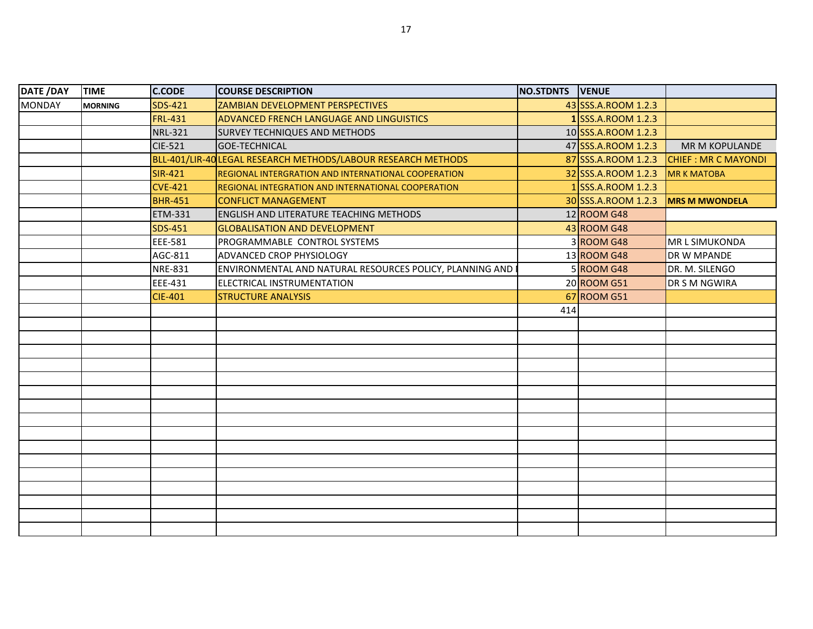| DATE /DAY     | <b>TIME</b>    | <b>C.CODE</b>  | <b>COURSE DESCRIPTION</b>                                     | NO.STDNTS VENUE |                     |                            |
|---------------|----------------|----------------|---------------------------------------------------------------|-----------------|---------------------|----------------------------|
| <b>MONDAY</b> | <b>MORNING</b> | <b>SDS-421</b> | <b>ZAMBIAN DEVELOPMENT PERSPECTIVES</b>                       |                 | 43 SSS.A.ROOM 1.2.3 |                            |
|               |                | <b>FRL-431</b> | <b>ADVANCED FRENCH LANGUAGE AND LINGUISTICS</b>               |                 | 1 SSS.A.ROOM 1.2.3  |                            |
|               |                | <b>NRL-321</b> | <b>SURVEY TECHNIQUES AND METHODS</b>                          |                 | 10 SSS.A.ROOM 1.2.3 |                            |
|               |                | <b>CIE-521</b> | <b>GOE-TECHNICAL</b>                                          |                 | 47 SSS.A.ROOM 1.2.3 | MR M KOPULANDE             |
|               |                |                | BLL-401/LIR-40 LEGAL RESEARCH METHODS/LABOUR RESEARCH METHODS |                 | 87 SSS.A.ROOM 1.2.3 | <b>CHIEF: MR C MAYONDI</b> |
|               |                | <b>SIR-421</b> | <b>REGIONAL INTERGRATION AND INTERNATIONAL COOPERATION</b>    |                 | 32 SSS.A.ROOM 1.2.3 | <b>MR K MATOBA</b>         |
|               |                | <b>CVE-421</b> | REGIONAL INTEGRATION AND INTERNATIONAL COOPERATION            |                 | 1 SSS.A.ROOM 1.2.3  |                            |
|               |                | <b>BHR-451</b> | <b>CONFLICT MANAGEMENT</b>                                    |                 | 30 SSS.A.ROOM 1.2.3 | <b>MRS M MWONDELA</b>      |
|               |                | <b>ETM-331</b> | <b>ENGLISH AND LITERATURE TEACHING METHODS</b>                |                 | $12$ ROOM G48       |                            |
|               |                | <b>SDS-451</b> | <b>GLOBALISATION AND DEVELOPMENT</b>                          |                 | 43 ROOM G48         |                            |
|               |                | EEE-581        | PROGRAMMABLE CONTROL SYSTEMS                                  |                 | 3 ROOM G48          | <b>MRL SIMUKONDA</b>       |
|               |                | AGC-811        | ADVANCED CROP PHYSIOLOGY                                      |                 | 13 ROOM G48         | DR W MPANDE                |
|               |                | <b>NRE-831</b> | ENVIRONMENTAL AND NATURAL RESOURCES POLICY, PLANNING AND      |                 | 5 ROOM G48          | DR. M. SILENGO             |
|               |                | EEE-431        | ELECTRICAL INSTRUMENTATION                                    |                 | 20 ROOM G51         | DR S M NGWIRA              |
|               |                | <b>CIE-401</b> | <b>STRUCTURE ANALYSIS</b>                                     |                 | 67 ROOM G51         |                            |
|               |                |                |                                                               | 414             |                     |                            |
|               |                |                |                                                               |                 |                     |                            |
|               |                |                |                                                               |                 |                     |                            |
|               |                |                |                                                               |                 |                     |                            |
|               |                |                |                                                               |                 |                     |                            |
|               |                |                |                                                               |                 |                     |                            |
|               |                |                |                                                               |                 |                     |                            |
|               |                |                |                                                               |                 |                     |                            |
|               |                |                |                                                               |                 |                     |                            |
|               |                |                |                                                               |                 |                     |                            |
|               |                |                |                                                               |                 |                     |                            |
|               |                |                |                                                               |                 |                     |                            |
|               |                |                |                                                               |                 |                     |                            |
|               |                |                |                                                               |                 |                     |                            |
|               |                |                |                                                               |                 |                     |                            |
|               |                |                |                                                               |                 |                     |                            |
|               |                |                |                                                               |                 |                     |                            |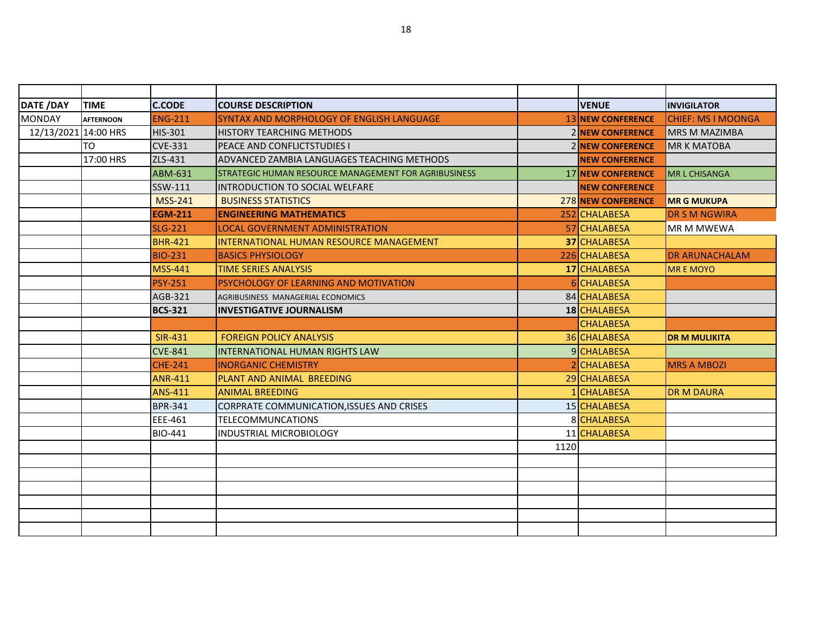| <b>DATE /DAY</b>     | <b>TIME</b>      | <b>C.CODE</b>  | <b>COURSE DESCRIPTION</b>                            |      | <b>VENUE</b>             | <b>INVIGILATOR</b>          |
|----------------------|------------------|----------------|------------------------------------------------------|------|--------------------------|-----------------------------|
| <b>MONDAY</b>        | <b>AFTERNOON</b> | <b>ENG-211</b> | SYNTAX AND MORPHOLOGY OF ENGLISH LANGUAGE            |      | <b>13 NEW CONFERENCE</b> | <b>I</b> CHIEF: MS I MOONGA |
| 12/13/2021 14:00 HRS |                  | HIS-301        | <b>HISTORY TEARCHING METHODS</b>                     |      | 2 NEW CONFERENCE         | <b>MRS M MAZIMBA</b>        |
|                      | <b>TO</b>        | <b>CVE-331</b> | PEACE AND CONFLICTSTUDIES I                          |      | <b>2 NEW CONFERENCE</b>  | <b>MR K MATOBA</b>          |
|                      | 17:00 HRS        | ZLS-431        | ADVANCED ZAMBIA LANGUAGES TEACHING METHODS           |      | <b>NEW CONFERENCE</b>    |                             |
|                      |                  | <b>ABM-631</b> | STRATEGIC HUMAN RESOURCE MANAGEMENT FOR AGRIBUSINESS |      | <b>17 NEW CONFERENCE</b> | IMR L CHISANGA              |
|                      |                  | SSW-111        | <b>INTRODUCTION TO SOCIAL WELFARE</b>                |      | <b>NEW CONFERENCE</b>    |                             |
|                      |                  | <b>MSS-241</b> | <b>BUSINESS STATISTICS</b>                           |      | 278 NEW CONFERENCE       | <b>MR G MUKUPA</b>          |
|                      |                  | <b>EGM-211</b> | <b>ENGINEERING MATHEMATICS</b>                       |      | 252 CHALABESA            | <b>DR S M NGWIRA</b>        |
|                      |                  | <b>SLG-221</b> | <b>LOCAL GOVERNMENT ADMINISTRATION</b>               |      | 57 CHALABESA             | MR M MWEWA                  |
|                      |                  | <b>BHR-421</b> | INTERNATIONAL HUMAN RESOURCE MANAGEMENT              |      | 37 CHALABESA             |                             |
|                      |                  | <b>BIO-231</b> | <b>BASICS PHYSIOLOGY</b>                             |      | 226 CHALABESA            | <b>DR ARUNACHALAM</b>       |
|                      |                  | <b>MSS-441</b> | <b>TIME SERIES ANALYSIS</b>                          |      | 17 CHALABESA             | <b>MREMOYO</b>              |
|                      |                  | <b>PSY-251</b> | PSYCHOLOGY OF LEARNING AND MOTIVATION                |      | 6 CHALABESA              |                             |
|                      |                  | <b>AGB-321</b> | AGRIBUSINESS MANAGERIAL ECONOMICS                    |      | 84 CHALABESA             |                             |
|                      |                  | <b>BCS-321</b> | <b>INVESTIGATIVE JOURNALISM</b>                      |      | 18 CHALABESA             |                             |
|                      |                  |                |                                                      |      | <b>CHALABESA</b>         |                             |
|                      |                  | <b>SIR-431</b> | <b>FOREIGN POLICY ANALYSIS</b>                       |      | 36 CHALABESA             | <b>DR M MULIKITA</b>        |
|                      |                  | <b>CVE-841</b> | <b>INTERNATIONAL HUMAN RIGHTS LAW</b>                |      | 9 CHALABESA              |                             |
|                      |                  | <b>CHE-241</b> | <b>INORGANIC CHEMISTRY</b>                           |      | 2 CHALABESA              | <b>MRS A MBOZI</b>          |
|                      |                  | <b>ANR-411</b> | <b>PLANT AND ANIMAL BREEDING</b>                     |      | 29 CHALABESA             |                             |
|                      |                  | <b>ANS-411</b> | <b>ANIMAL BREEDING</b>                               |      | 1 CHALABESA              | <b>DR M DAURA</b>           |
|                      |                  | <b>BPR-341</b> | CORPRATE COMMUNICATION, ISSUES AND CRISES            |      | 15 CHALABESA             |                             |
|                      |                  | EEE-461        | <b>TELECOMMUNCATIONS</b>                             |      | 8 CHALABESA              |                             |
|                      |                  | <b>BIO-441</b> | <b>INDUSTRIAL MICROBIOLOGY</b>                       |      | 11 CHALABESA             |                             |
|                      |                  |                |                                                      | 1120 |                          |                             |
|                      |                  |                |                                                      |      |                          |                             |
|                      |                  |                |                                                      |      |                          |                             |
|                      |                  |                |                                                      |      |                          |                             |
|                      |                  |                |                                                      |      |                          |                             |
|                      |                  |                |                                                      |      |                          |                             |
|                      |                  |                |                                                      |      |                          |                             |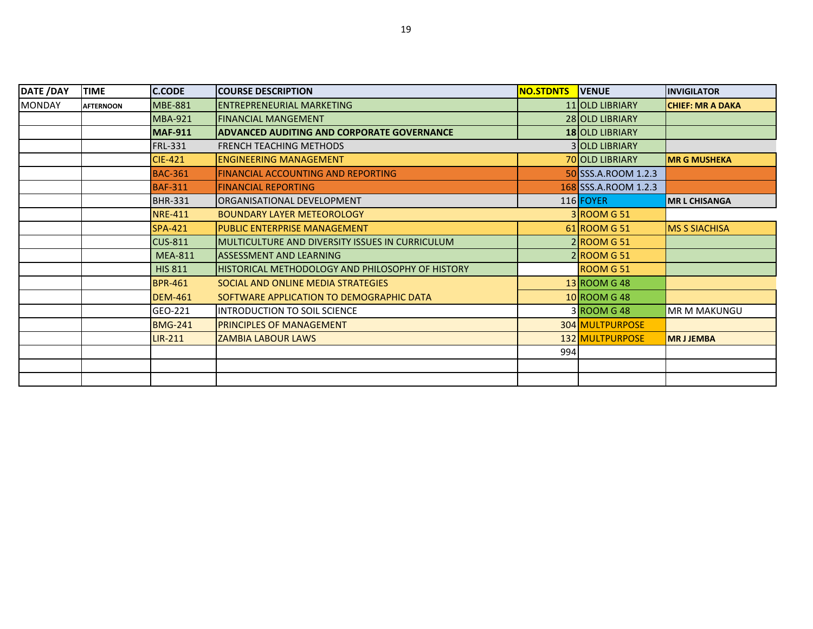| <b>DATE /DAY</b> | <b>TIME</b>      | <b>C.CODE</b>  | <b>COURSE DESCRIPTION</b>                                | <b>NO.STDNTS</b> | <b>VENUE</b>          | <b>INVIGILATOR</b>      |
|------------------|------------------|----------------|----------------------------------------------------------|------------------|-----------------------|-------------------------|
| <b>MONDAY</b>    | <b>AFTERNOON</b> | <b>MBE-881</b> | IENTREPRENEURIAL MARKETING                               |                  | 11 OLD LIBRIARY       | <b>CHIEF: MR A DAKA</b> |
|                  |                  | <b>MBA-921</b> | <b>FINANCIAL MANGEMENT</b>                               |                  | 28 OLD LIBRIARY       |                         |
|                  |                  | <b>MAF-911</b> | <b>ADVANCED AUDITING AND CORPORATE GOVERNANCE</b>        |                  | 18 OLD LIBRIARY       |                         |
|                  |                  | <b>FRL-331</b> | <b>FRENCH TEACHING METHODS</b>                           |                  | <b>3 OLD LIBRIARY</b> |                         |
|                  |                  | <b>CIE-421</b> | <b>ENGINEERING MANAGEMENT</b>                            |                  | 70 OLD LIBRIARY       | <b>MR G MUSHEKA</b>     |
|                  |                  | <b>BAC-361</b> | <b>FINANCIAL ACCOUNTING AND REPORTING</b>                |                  | 50 SSS.A.ROOM 1.2.3   |                         |
|                  |                  | <b>BAF-311</b> | <b>FINANCIAL REPORTING</b>                               |                  | 168 SSS.A.ROOM 1.2.3  |                         |
|                  |                  | <b>BHR-331</b> | ORGANISATIONAL DEVELOPMENT                               |                  | 116 FOYER             | <b>MR L CHISANGA</b>    |
|                  |                  | <b>NRE-411</b> | <b>BOUNDARY LAYER METEOROLOGY</b>                        |                  | 3 ROOM G 51           |                         |
|                  |                  | <b>SPA-421</b> | <b>PUBLIC ENTERPRISE MANAGEMENT</b>                      |                  | $61$ ROOM G 51        | <b>MS S SIACHISA</b>    |
|                  |                  | <b>CUS-811</b> | IMULTICULTURE AND DIVERSITY ISSUES IN CURRICULUM         |                  | 2 ROOM G 51           |                         |
|                  |                  | <b>MEA-811</b> | <b>ASSESSMENT AND LEARNING</b>                           |                  | 2 ROOM G 51           |                         |
|                  |                  | <b>HIS 811</b> | <b>IHISTORICAL METHODOLOGY AND PHILOSOPHY OF HISTORY</b> |                  | <b>ROOM G51</b>       |                         |
|                  |                  | <b>BPR-461</b> | SOCIAL AND ONLINE MEDIA STRATEGIES                       |                  | 13 ROOM G 48          |                         |
|                  |                  | <b>DEM-461</b> | SOFTWARE APPLICATION TO DEMOGRAPHIC DATA                 |                  | 10 ROOM G 48          |                         |
|                  |                  | GEO-221        | <b>INTRODUCTION TO SOIL SCIENCE</b>                      |                  | 3 ROOM G 48           | <b>MR M MAKUNGU</b>     |
|                  |                  | <b>BMG-241</b> | <b>PRINCIPLES OF MANAGEMENT</b>                          |                  | 304 MULTPURPOSE       |                         |
|                  |                  | $LIR-211$      | <b>ZAMBIA LABOUR LAWS</b>                                |                  | 132 MULTPURPOSE       | <b>MRJJEMBA</b>         |
|                  |                  |                |                                                          | 994              |                       |                         |
|                  |                  |                |                                                          |                  |                       |                         |
|                  |                  |                |                                                          |                  |                       |                         |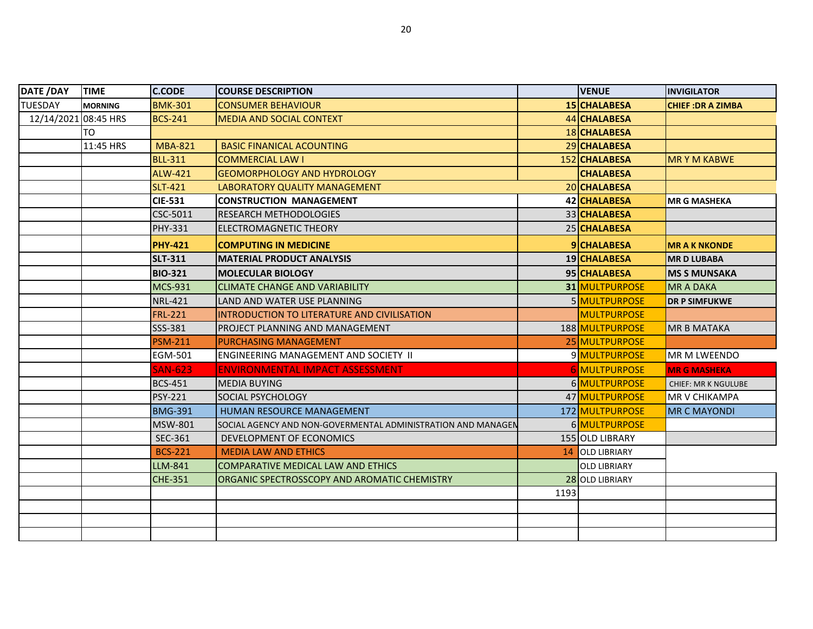| DATE /DAY            | <b>TIME</b>    | <b>C.CODE</b>  | <b>COURSE DESCRIPTION</b>                                    |      | <b>VENUE</b>         | <b>INVIGILATOR</b>         |
|----------------------|----------------|----------------|--------------------------------------------------------------|------|----------------------|----------------------------|
| <b>TUESDAY</b>       | <b>MORNING</b> | <b>BMK-301</b> | <b>CONSUMER BEHAVIOUR</b>                                    |      | 15 CHALABESA         | <b>CHIEF: DR A ZIMBA</b>   |
| 12/14/2021 08:45 HRS |                | <b>BCS-241</b> | <b>MEDIA AND SOCIAL CONTEXT</b>                              |      | 44 CHALABESA         |                            |
|                      | TO             |                |                                                              |      | 18 CHALABESA         |                            |
|                      | 11:45 HRS      | <b>MBA-821</b> | <b>BASIC FINANICAL ACOUNTING</b>                             |      | 29 CHALABESA         |                            |
|                      |                | <b>BLL-311</b> | <b>COMMERCIAL LAW I</b>                                      |      | 152 CHALABESA        | <b>MRYM KABWE</b>          |
|                      |                | <b>ALW-421</b> | <b>GEOMORPHOLOGY AND HYDROLOGY</b>                           |      | <b>CHALABESA</b>     |                            |
|                      |                | <b>SLT-421</b> | LABORATORY QUALITY MANAGEMENT                                |      | 20 CHALABESA         |                            |
|                      |                | <b>CIE-531</b> | <b>CONSTRUCTION MANAGEMENT</b>                               |      | 42 CHALABESA         | <b>MR G MASHEKA</b>        |
|                      |                | CSC-5011       | <b>RESEARCH METHODOLOGIES</b>                                |      | 33 CHALABESA         |                            |
|                      |                | <b>PHY-331</b> | <b>ELECTROMAGNETIC THEORY</b>                                |      | 25 CHALABESA         |                            |
|                      |                | <b>PHY-421</b> | <b>COMPUTING IN MEDICINE</b>                                 |      | <b>9</b> CHALABESA   | <b>MR A K NKONDE</b>       |
|                      |                | <b>SLT-311</b> | <b>MATERIAL PRODUCT ANALYSIS</b>                             |      | 19 CHALABESA         | <b>MRD LUBABA</b>          |
|                      |                | <b>BIO-321</b> | <b>MOLECULAR BIOLOGY</b>                                     |      | 95 CHALABESA         | <b>MS S MUNSAKA</b>        |
|                      |                | <b>MCS-931</b> | <b>CLIMATE CHANGE AND VARIABILITY</b>                        |      | 31 MULTPURPOSE       | <b>MR A DAKA</b>           |
|                      |                | <b>NRL-421</b> | LAND AND WATER USE PLANNING                                  |      | 5 MULTPURPOSE        | <b>DR P SIMFUKWE</b>       |
|                      |                | <b>FRL-221</b> | INTRODUCTION TO LITERATURE AND CIVILISATION                  |      | <b>MULTPURPOSE</b>   |                            |
|                      |                | SSS-381        | PROJECT PLANNING AND MANAGEMENT                              |      | 188 MULTPURPOSE      | <b>MR B MATAKA</b>         |
|                      |                | <b>PSM-211</b> | <b>PURCHASING MANAGEMENT</b>                                 |      | 25 MULTPURPOSE       |                            |
|                      |                | <b>EGM-501</b> | ENGINEERING MANAGEMENT AND SOCIETY II                        |      | 9 MULTPURPOSE        | MR M LWEENDO               |
|                      |                | <b>SAN-623</b> | <b>ENVIRONMENTAL IMPACT ASSESSMENT</b>                       |      | <b>6 MULTPURPOSE</b> | <b>MR G MASHEKA</b>        |
|                      |                | <b>BCS-451</b> | <b>MEDIA BUYING</b>                                          |      | 6 MULTPURPOSE        | <b>CHIEF: MR K NGULUBE</b> |
|                      |                | <b>PSY-221</b> | <b>SOCIAL PSYCHOLOGY</b>                                     |      | 47 MULTPURPOSE       | <b>MR V CHIKAMPA</b>       |
|                      |                | <b>BMG-391</b> | HUMAN RESOURCE MANAGEMENT                                    |      | 172 MULTPURPOSE      | <b>MR C MAYONDI</b>        |
|                      |                | <b>MSW-801</b> | SOCIAL AGENCY AND NON-GOVERMENTAL ADMINISTRATION AND MANAGEN |      | 6 MULTPURPOSE        |                            |
|                      |                | SEC-361        | DEVELOPMENT OF ECONOMICS                                     |      | 155 OLD LIBRARY      |                            |
|                      |                | <b>BCS-221</b> | <b>MEDIA LAW AND ETHICS</b>                                  | 14   | <b>OLD LIBRIARY</b>  |                            |
|                      |                | LLM-841        | COMPARATIVE MEDICAL LAW AND ETHICS                           |      | <b>OLD LIBRIARY</b>  |                            |
|                      |                | <b>CHE-351</b> | ORGANIC SPECTROSSCOPY AND AROMATIC CHEMISTRY                 |      | 28 OLD LIBRIARY      |                            |
|                      |                |                |                                                              | 1193 |                      |                            |
|                      |                |                |                                                              |      |                      |                            |
|                      |                |                |                                                              |      |                      |                            |
|                      |                |                |                                                              |      |                      |                            |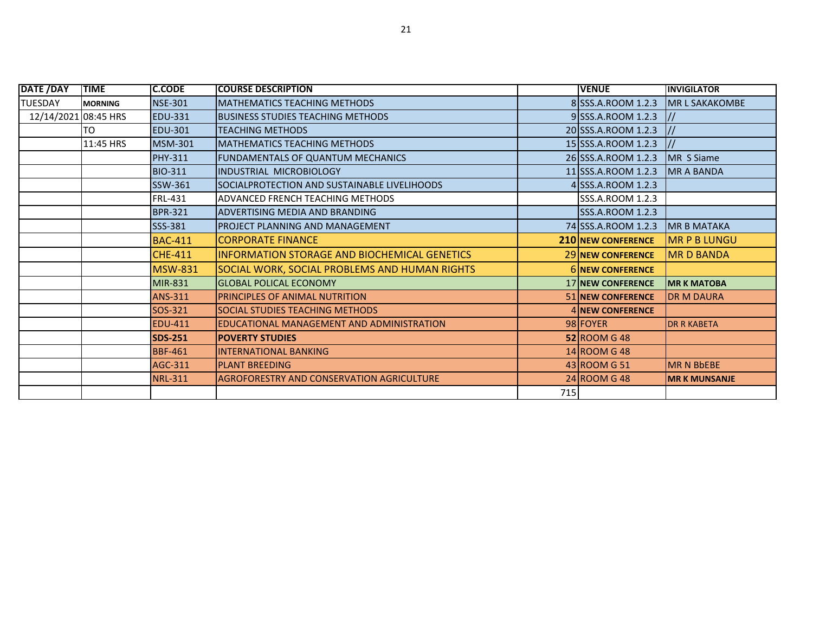| <b>DATE / DAY</b>    | <b>TIME</b>    | <b>C.CODE</b>  | <b>COURSE DESCRIPTION</b>                            |     | <b>VENUE</b>              | <b>INVIGILATOR</b>    |
|----------------------|----------------|----------------|------------------------------------------------------|-----|---------------------------|-----------------------|
| <b>TUESDAY</b>       | <b>MORNING</b> | <b>NSE-301</b> | <b>MATHEMATICS TEACHING METHODS</b>                  |     | 8 SSS.A.ROOM 1.2.3        | <b>MR L SAKAKOMBE</b> |
| 12/14/2021 08:45 HRS |                | <b>EDU-331</b> | BUSINESS STUDIES TEACHING METHODS                    |     | 9 SSS.A.ROOM 1.2.3        | $\frac{1}{2}$         |
|                      | TO             | <b>EDU-301</b> | <b>TEACHING METHODS</b>                              |     | 20 SSS.A.ROOM 1.2.3       | $^{\prime\prime}$     |
|                      | 11:45 HRS      | <b>MSM-301</b> | <b>MATHEMATICS TEACHING METHODS</b>                  |     | 15 SSS.A.ROOM 1.2.3       | $\vert$ //            |
|                      |                | <b>PHY-311</b> | FUNDAMENTALS OF QUANTUM MECHANICS                    |     | 26 SSS.A.ROOM 1.2.3       | MR S Siame            |
|                      |                | <b>BIO-311</b> | INDUSTRIAL MICROBIOLOGY                              |     | 11 SSS.A.ROOM 1.2.3       | <b>MR A BANDA</b>     |
|                      |                | SSW-361        | SOCIALPROTECTION AND SUSTAINABLE LIVELIHOODS         |     | 4 SSS.A.ROOM 1.2.3        |                       |
|                      |                | <b>FRL-431</b> | ADVANCED FRENCH TEACHING METHODS                     |     | SSS.A.ROOM 1.2.3          |                       |
|                      |                | <b>BPR-321</b> | IADVERTISING MEDIA AND BRANDING                      |     | SSS.A.ROOM 1.2.3          |                       |
|                      |                | SSS-381        | PROJECT PLANNING AND MANAGEMENT                      |     | 74 SSS.A.ROOM 1.2.3       | <b>MR B MATAKA</b>    |
|                      |                | <b>BAC-411</b> | <b>CORPORATE FINANCE</b>                             |     | <b>210 NEW CONFERENCE</b> | <b>MR P B LUNGU</b>   |
|                      |                | <b>CHE-411</b> | INFORMATION STORAGE AND BIOCHEMICAL GENETICS         |     | <b>29 INEW CONFERENCE</b> | <b>MRD BANDA</b>      |
|                      |                | <b>MSW-831</b> | <b>SOCIAL WORK, SOCIAL PROBLEMS AND HUMAN RIGHTS</b> |     | <b>6 INEW CONFERENCE</b>  |                       |
|                      |                | MIR-831        | <b>GLOBAL POLICAL ECONOMY</b>                        |     | 17 NEW CONFERENCE         | <b>MR K MATOBA</b>    |
|                      |                | <b>ANS-311</b> | <b>PRINCIPLES OF ANIMAL NUTRITION</b>                |     | <b>51 INEW CONFERENCE</b> | <b>DR M DAURA</b>     |
|                      |                | SOS-321        | SOCIAL STUDIES TEACHING METHODS                      |     | <b>4 INEW CONFERENCE</b>  |                       |
|                      |                | <b>EDU-411</b> | EDUCATIONAL MANAGEMENT AND ADMINISTRATION            |     | 98 FOYER                  | <b>DR R KABETA</b>    |
|                      |                | <b>SDS-251</b> | <b>POVERTY STUDIES</b>                               |     | <b>52 ROOM G 48</b>       |                       |
|                      |                | <b>BBF-461</b> | <b>INTERNATIONAL BANKING</b>                         |     | $14$ ROOM G 48            |                       |
|                      |                | AGC-311        | <b>PLANT BREEDING</b>                                |     | 43 ROOM G 51              | <b>IMR N BbEBE</b>    |
|                      |                | <b>NRL-311</b> | <b>AGROFORESTRY AND CONSERVATION AGRICULTURE</b>     |     | 24 ROOM G 48              | <b>IMR K MUNSANJE</b> |
|                      |                |                |                                                      | 715 |                           |                       |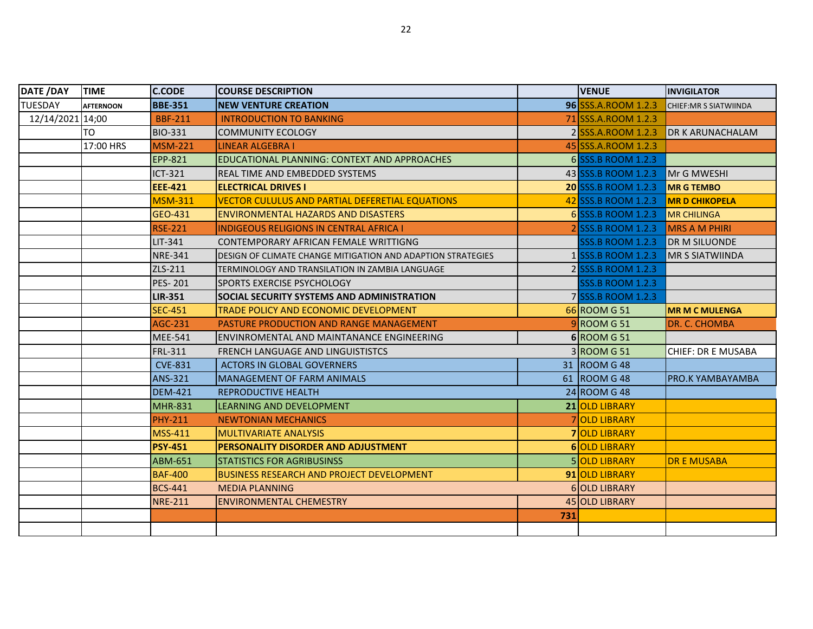| <b>DATE /DAY</b> | <b>TIME</b>      | <b>C.CODE</b>  | <b>COURSE DESCRIPTION</b>                                          |     | <b>VENUE</b>               | <b>INVIGILATOR</b>            |
|------------------|------------------|----------------|--------------------------------------------------------------------|-----|----------------------------|-------------------------------|
| <b>TUESDAY</b>   | <b>AFTERNOON</b> | <b>BBE-351</b> | <b>NEW VENTURE CREATION</b>                                        |     | 96 SSS.A.ROOM 1.2.3        | <b>CHIEF: MR S SIATWIINDA</b> |
| 12/14/2021 14;00 |                  | <b>BBF-211</b> | <b>INTRODUCTION TO BANKING</b>                                     |     | 71 SSS.A.ROOM 1.2.3        |                               |
|                  | TO               | <b>BIO-331</b> | <b>COMMUNITY ECOLOGY</b>                                           |     | 2 SSS.A.ROOM 1.2.3         | <b>DR K ARUNACHALAM</b>       |
|                  | 17:00 HRS        | <b>MSM-221</b> | <b>LINEAR ALGEBRA I</b>                                            |     | 45 SSS.A.ROOM 1.2.3        |                               |
|                  |                  | <b>EPP-821</b> | EDUCATIONAL PLANNING: CONTEXT AND APPROACHES                       |     | 6 SSS.B ROOM 1.2.3         |                               |
|                  |                  | ICT-321        | REAL TIME AND EMBEDDED SYSTEMS                                     |     | 43 SSS.B ROOM 1.2.3        | Mr G MWESHI                   |
|                  |                  | <b>EEE-421</b> | <b>ELECTRICAL DRIVES I</b>                                         |     | <b>20 SSS.B ROOM 1.2.3</b> | <b>MR G TEMBO</b>             |
|                  |                  | <b>MSM-311</b> | <b>VECTOR CULULUS AND PARTIAL DEFERETIAL EQUATIONS</b>             |     | 42 SSS.B ROOM 1.2.3        | <b>MR D CHIKOPELA</b>         |
|                  |                  | GEO-431        | <b>ENVIRONMENTAL HAZARDS AND DISASTERS</b>                         |     | 6 SSS.B ROOM 1.2.3         | <b>MR CHILINGA</b>            |
|                  |                  | <b>RSE-221</b> | <b>INDIGEOUS RELIGIONS IN CENTRAL AFRICA I</b>                     |     | 2 SSS.B ROOM 1.2.3         | <b>MRS A M PHIRI</b>          |
|                  |                  | LIT-341        | CONTEMPORARY AFRICAN FEMALE WRITTIGNG                              |     | <b>SSS.B ROOM 1.2.3</b>    | <b>DR M SILUONDE</b>          |
|                  |                  | <b>NRE-341</b> | <b>DESIGN OF CLIMATE CHANGE MITIGATION AND ADAPTION STRATEGIES</b> |     | 1 SSS.B ROOM 1.2.3         | <b>MR S SIATWIINDA</b>        |
|                  |                  | ZLS-211        | TERMINOLOGY AND TRANSILATION IN ZAMBIA LANGUAGE                    |     | 2 SSS.B ROOM 1.2.3         |                               |
|                  |                  | <b>PES-201</b> | <b>ISPORTS EXERCISE PSYCHOLOGY</b>                                 |     | <b>SSS.B ROOM 1.2.3</b>    |                               |
|                  |                  | <b>LIR-351</b> | SOCIAL SECURITY SYSTEMS AND ADMINISTRATION                         |     | 7 SSS.B ROOM 1.2.3         |                               |
|                  |                  | <b>SEC-451</b> | TRADE POLICY AND ECONOMIC DEVELOPMENT                              |     | 66 ROOM G 51               | <b>MR M C MULENGA</b>         |
|                  |                  | AGC-231        | PASTURE PRODUCTION AND RANGE MANAGEMENT                            |     | 9 ROOM G 51                | DR. C. CHOMBA                 |
|                  |                  | <b>MEE-541</b> | ENVINROMENTAL AND MAINTANANCE ENGINEERING                          |     | $6$ ROOM G 51              |                               |
|                  |                  | FRL-311        | FRENCH LANGUAGE AND LINGUISTISTCS                                  |     | $3 $ ROOM G 51             | <b>CHIEF: DR E MUSABA</b>     |
|                  |                  | <b>CVE-831</b> | <b>ACTORS IN GLOBAL GOVERNERS</b>                                  |     | 31 ROOM G 48               |                               |
|                  |                  | ANS-321        | <b>MANAGEMENT OF FARM ANIMALS</b>                                  |     | 61 ROOM G 48               | <b>PRO.K YAMBAYAMBA</b>       |
|                  |                  | <b>DEM-421</b> | <b>REPRODUCTIVE HEALTH</b>                                         |     | $24$ ROOM G 48             |                               |
|                  |                  | <b>MHR-831</b> | LEARNING AND DEVELOPMENT                                           |     | 21 OLD LIBRARY             |                               |
|                  |                  | <b>PHY-211</b> | <b>NEWTONIAN MECHANICS</b>                                         |     | 7 OLD LIBRARY              |                               |
|                  |                  | <b>MSS-411</b> | <b>MULTIVARIATE ANALYSIS</b>                                       |     | <b>7 OLD LIBRARY</b>       |                               |
|                  |                  | <b>PSY-451</b> | PERSONALITY DISORDER AND ADJUSTMENT                                |     | <b>6 OLD LIBRARY</b>       |                               |
|                  |                  | ABM-651        | STATISTICS FOR AGRIBUSINSS                                         |     | <b>5 OLD LIBRARY</b>       | <b>DR E MUSABA</b>            |
|                  |                  | <b>BAF-400</b> | <b>BUSINESS RESEARCH AND PROJECT DEVELOPMENT</b>                   |     | 91 OLD LIBRARY             |                               |
|                  |                  | <b>BCS-441</b> | <b>MEDIA PLANNING</b>                                              |     | <b>6 OLD LIBRARY</b>       |                               |
|                  |                  | <b>NRE-211</b> | <b>ENVIRONMENTAL CHEMESTRY</b>                                     |     | 45 OLD LIBRARY             |                               |
|                  |                  |                |                                                                    | 731 |                            |                               |
|                  |                  |                |                                                                    |     |                            |                               |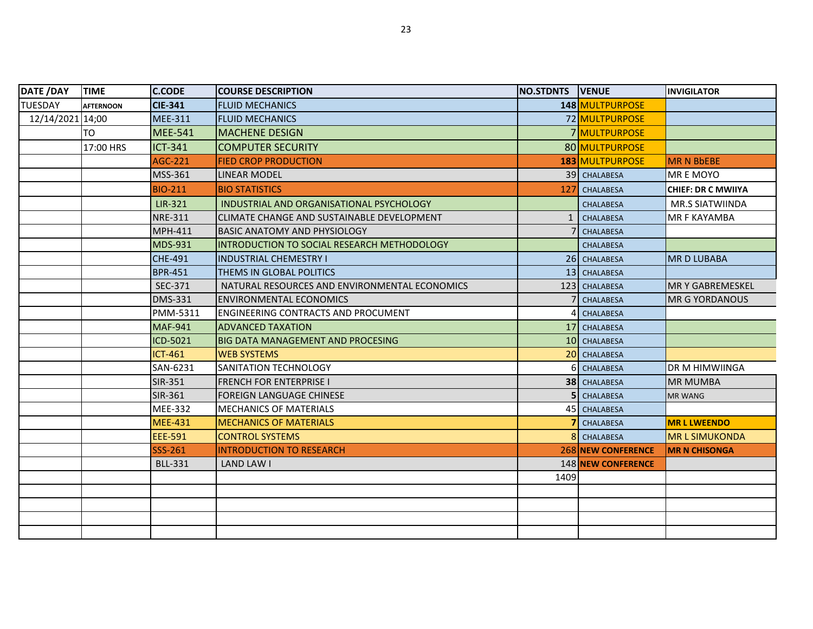| DATE /DAY        | <b>TIME</b>      | <b>C.CODE</b>  | <b>COURSE DESCRIPTION</b>                     | <b>NO.STDNTS VENUE</b> |                           | <b>INVIGILATOR</b>        |
|------------------|------------------|----------------|-----------------------------------------------|------------------------|---------------------------|---------------------------|
| <b>TUESDAY</b>   | <b>AFTERNOON</b> | <b>CIE-341</b> | <b>FLUID MECHANICS</b>                        |                        | 148 MULTPURPOSE           |                           |
| 12/14/2021 14;00 |                  | <b>MEE-311</b> | <b>FLUID MECHANICS</b>                        |                        | 72 MULTPURPOSE            |                           |
|                  | TO               | <b>MEE-541</b> | <b>MACHENE DESIGN</b>                         |                        | 7 MULTPURPOSE             |                           |
|                  | 17:00 HRS        | <b>ICT-341</b> | <b>COMPUTER SECURITY</b>                      |                        | 80 MULTPURPOSE            |                           |
|                  |                  | <b>AGC-221</b> | <b>FIED CROP PRODUCTION</b>                   |                        | 183 MULTPURPOSE           | <b>MR N BbEBE</b>         |
|                  |                  | <b>MSS-361</b> | <b>LINEAR MODEL</b>                           |                        | 39 CHALABESA              | <b>MREMOYO</b>            |
|                  |                  | <b>BIO-211</b> | <b>BIO STATISTICS</b>                         | 127                    | <b>CHALABESA</b>          | <b>CHIEF: DR C MWIIYA</b> |
|                  |                  | LIR-321        | INDUSTRIAL AND ORGANISATIONAL PSYCHOLOGY      |                        | CHALABESA                 | MR.S SIATWIINDA           |
|                  |                  | <b>NRE-311</b> | CLIMATE CHANGE AND SUSTAINABLE DEVELOPMENT    | $\mathbf{1}$           | <b>CHALABESA</b>          | MR F KAYAMBA              |
|                  |                  | <b>MPH-411</b> | BASIC ANATOMY AND PHYSIOLOGY                  |                        | <b>CHALABESA</b>          |                           |
|                  |                  | <b>MDS-931</b> | INTRODUCTION TO SOCIAL RESEARCH METHODOLOGY   |                        | <b>CHALABESA</b>          |                           |
|                  |                  | <b>CHE-491</b> | <b>INDUSTRIAL CHEMESTRY I</b>                 |                        | 26 CHALABESA              | <b>MRD LUBABA</b>         |
|                  |                  | <b>BPR-451</b> | THEMS IN GLOBAL POLITICS                      |                        | 13 CHALABESA              |                           |
|                  |                  | SEC-371        | NATURAL RESOURCES AND ENVIRONMENTAL ECONOMICS |                        | 123 CHALABESA             | <b>MR Y GABREMESKEL</b>   |
|                  |                  | <b>DMS-331</b> | <b>ENVIRONMENTAL ECONOMICS</b>                |                        | <b>CHALABESA</b>          | <b>MR G YORDANOUS</b>     |
|                  |                  | PMM-5311       | <b>ENGINEERING CONTRACTS AND PROCUMENT</b>    |                        | 4 CHALABESA               |                           |
|                  |                  | <b>MAF-941</b> | <b>ADVANCED TAXATION</b>                      |                        | 17 CHALABESA              |                           |
|                  |                  | ICD-5021       | <b>BIG DATA MANAGEMENT AND PROCESING</b>      |                        | 10 CHALABESA              |                           |
|                  |                  | <b>ICT-461</b> | <b>WEB SYSTEMS</b>                            |                        | 20 CHALABESA              |                           |
|                  |                  | SAN-6231       | <b>SANITATION TECHNOLOGY</b>                  |                        | 6 CHALABESA               | DR M HIMWIINGA            |
|                  |                  | SIR-351        | <b>FRENCH FOR ENTERPRISE I</b>                |                        | <b>38</b> CHALABESA       | <b>MR MUMBA</b>           |
|                  |                  | SIR-361        | <b>FOREIGN LANGUAGE CHINESE</b>               |                        | 5 CHALABESA               | <b>MR WANG</b>            |
|                  |                  | <b>MEE-332</b> | <b>MECHANICS OF MATERIALS</b>                 |                        | 45 CHALABESA              |                           |
|                  |                  | <b>MEE-431</b> | <b>MECHANICS OF MATERIALS</b>                 |                        | CHALABESA                 | <b>MRLLWEENDO</b>         |
|                  |                  | <b>EEE-591</b> | <b>CONTROL SYSTEMS</b>                        |                        | 8 CHALABESA               | <b>MRL SIMUKONDA</b>      |
|                  |                  | SSS-261        | INTRODUCTION TO RESEARCH                      |                        | <b>268 NEW CONFERENCE</b> | <b>MR N CHISONGA</b>      |
|                  |                  | <b>BLL-331</b> | LAND LAW I                                    |                        | <b>148 NEW CONFERENCE</b> |                           |
|                  |                  |                |                                               | 1409                   |                           |                           |
|                  |                  |                |                                               |                        |                           |                           |
|                  |                  |                |                                               |                        |                           |                           |
|                  |                  |                |                                               |                        |                           |                           |
|                  |                  |                |                                               |                        |                           |                           |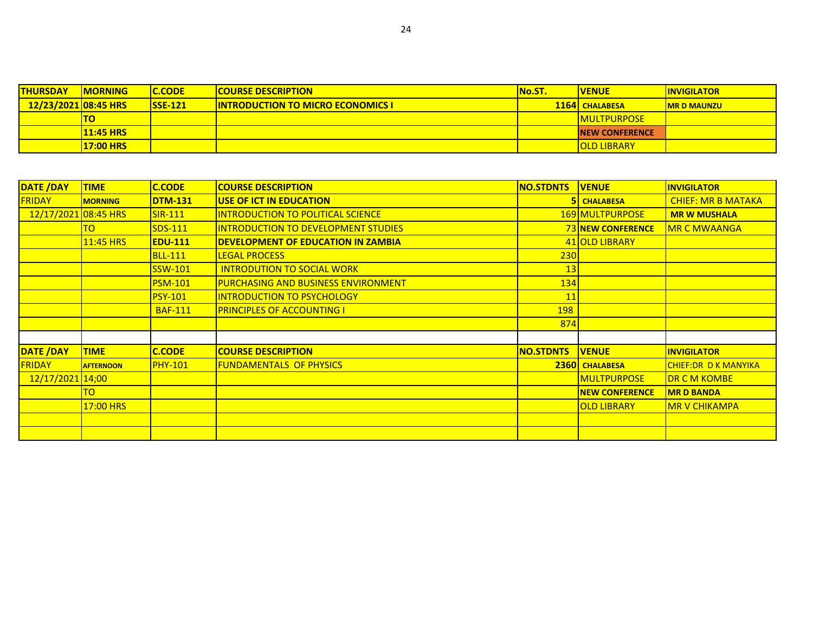| <b>THURSDAY</b>      | <b>IMORNING</b>  | <b>IC.CODE</b> | <b>COURSE DESCRIPTION</b>                 | <b>No.ST.</b> | <b>VENUE</b>           | <b>IINVIGILATOR</b> |
|----------------------|------------------|----------------|-------------------------------------------|---------------|------------------------|---------------------|
| 12/23/2021 08:45 HRS |                  | $SSE-121$      | <b>IINTRODUCTION TO MICRO ECONOMICS I</b> |               | <b>1164 CHALABESA</b>  | <b>IMR D MAUNZU</b> |
|                      | <b>TO</b>        |                |                                           |               | <b>IMULTPURPOSE</b>    |                     |
|                      | <b>11:45 HRS</b> |                |                                           |               | <b>INEW CONFERENCE</b> |                     |
|                      | <b>17:00 HRS</b> |                |                                           |               | <b>OLD LIBRARY</b>     |                     |

| <b>DATE /DAY</b>     | <b>TIME</b>      | <b>C.CODE</b>  | <b>COURSE DESCRIPTION</b>                  | <b>NO.STDNTS</b> | <b>VENUE</b>             | <b>INVIGILATOR</b>          |
|----------------------|------------------|----------------|--------------------------------------------|------------------|--------------------------|-----------------------------|
| <b>FRIDAY</b>        | <b>MORNING</b>   | <b>DTM-131</b> | USE OF ICT IN EDUCATION                    | 51               | <b>CHALABESA</b>         | <b>CHIEF: MR B MATAKA</b>   |
| 12/17/2021 08:45 HRS |                  | $SIR-111$      | INTRODUCTION TO POLITICAL SCIENCE          |                  | 169 MULTPURPOSE          | <b>MR W MUSHALA</b>         |
|                      | TO.              | $SDS-111$      | INTRODUCTION TO DEVELOPMENT STUDIES        |                  | <b>73 NEW CONFERENCE</b> | <b>IMR C MWAANGA</b>        |
|                      | <b>11:45 HRS</b> | <b>EDU-111</b> | DEVELOPMENT OF EDUCATION IN ZAMBIA         |                  | 41 OLD LIBRARY           |                             |
|                      |                  | <b>BLL-111</b> | <b>LEGAL PROCESS</b>                       | 230              |                          |                             |
|                      |                  | <b>SSW-101</b> | <b>INTRODUTION TO SOCIAL WORK</b>          | 13               |                          |                             |
|                      |                  | <b>PSM-101</b> | <b>PURCHASING AND BUSINESS ENVIRONMENT</b> | 134              |                          |                             |
|                      |                  | <b>PSY-101</b> | <b>INTRODUCTION TO PSYCHOLOGY</b>          | 11               |                          |                             |
|                      |                  | <b>BAF-111</b> | <b>PRINCIPLES OF ACCOUNTING I</b>          | <b>198</b>       |                          |                             |
|                      |                  |                |                                            | 874              |                          |                             |
|                      |                  |                |                                            |                  |                          |                             |
| <b>DATE /DAY</b>     | <b>TIME</b>      | <b>C.CODE</b>  | <b>COURSE DESCRIPTION</b>                  | <b>NO.STDNTS</b> | <b>VENUE</b>             | <b>INVIGILATOR</b>          |
| <b>FRIDAY</b>        | <b>AFTERNOON</b> | <b>PHY-101</b> | <b>FUNDAMENTALS OF PHYSICS</b>             |                  | <b>2360 CHALABESA</b>    | <b>CHIEF:DR D K MANYIKA</b> |
| 12/17/2021 14;00     |                  |                |                                            |                  | <b>MULTPURPOSE</b>       | <b>DR C M KOMBE</b>         |
|                      | TO               |                |                                            |                  | <b>NEW CONFERENCE</b>    | <b>MR D BANDA</b>           |
|                      | 17:00 HRS        |                |                                            |                  | <b>OLD LIBRARY</b>       | <b>MR V CHIKAMPA</b>        |
|                      |                  |                |                                            |                  |                          |                             |
|                      |                  |                |                                            |                  |                          |                             |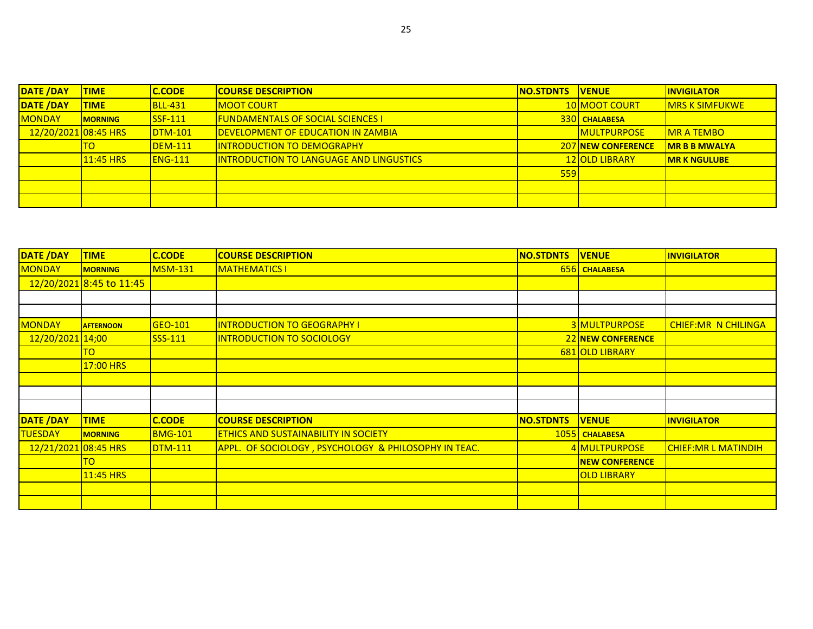| <b>DATE /DAY</b>       | <b>TIME</b>     | <b>C.CODE</b>  | <b>COURSE DESCRIPTION</b>                  | <b>INO.STDNTS</b> | <b>IVENUE</b>             | <b>IINVIGILATOR</b>    |
|------------------------|-----------------|----------------|--------------------------------------------|-------------------|---------------------------|------------------------|
| <b>DATE /DAY</b>       | <b>TIME</b>     | <b>BLL-431</b> | <b>MOOT COURT</b>                          |                   | <b>10 MOOT COURT</b>      | <b>IMRS K SIMFUKWE</b> |
| <b>MONDAY</b>          | <b>IMORNING</b> | $SSF-111$      | <u>IFUNDAMENTALS OF SOCIAL SCIENCES I</u>  |                   | <b>330 CHALABESA</b>      |                        |
| $12/20/2021$ 08:45 HRS |                 | $DTM-101$      | <b>IDEVELOPMENT OF EDUCATION IN ZAMBIA</b> |                   | <b>MULTPURPOSE</b>        | <b>IMR A TEMBO</b>     |
|                        |                 | <b>DEM-111</b> | <b>INTRODUCTION TO DEMOGRAPHY</b>          |                   | <b>207 NEW CONFERENCE</b> | IMR B B MWALYA         |
|                        | 11:45 HRS       | $ENG-111$      | INTRODUCTION TO LANGUAGE AND LINGUSTICS    |                   | <b>12 OLD LIBRARY</b>     | <b>IMR K NGULUBE</b>   |
|                        |                 |                |                                            | 559               |                           |                        |
|                        |                 |                |                                            |                   |                           |                        |
|                        |                 |                |                                            |                   |                           |                        |

| DATE /DAY            | <b>TIME</b>              | <b>C.CODE</b>  | <b>COURSE DESCRIPTION</b>                            | <b>NO.STDNTS</b> | <b>VENUE</b>             | <b>INVIGILATOR</b>         |
|----------------------|--------------------------|----------------|------------------------------------------------------|------------------|--------------------------|----------------------------|
| <b>MONDAY</b>        | <b>MORNING</b>           | <b>MSM-131</b> | <b>MATHEMATICS I</b>                                 |                  | 656 CHALABESA            |                            |
|                      | 12/20/2021 8:45 to 11:45 |                |                                                      |                  |                          |                            |
|                      |                          |                |                                                      |                  |                          |                            |
|                      |                          |                |                                                      |                  |                          |                            |
| <b>MONDAY</b>        | <b>AFTERNOON</b>         | GEO-101        | <b>INTRODUCTION TO GEOGRAPHY I</b>                   |                  | 3 MULTPURPOSE            | <b>CHIEF:MR N CHILINGA</b> |
| 12/20/2021 14;00     |                          | $SSS-111$      | <b>INTRODUCTION TO SOCIOLOGY</b>                     |                  | <b>22 NEW CONFERENCE</b> |                            |
|                      | ΤO                       |                |                                                      |                  | 681 OLD LIBRARY          |                            |
|                      | 17:00 HRS                |                |                                                      |                  |                          |                            |
|                      |                          |                |                                                      |                  |                          |                            |
|                      |                          |                |                                                      |                  |                          |                            |
|                      |                          |                |                                                      |                  |                          |                            |
| <b>DATE /DAY</b>     | <b>TIME</b>              | <b>C.CODE</b>  | <b>COURSE DESCRIPTION</b>                            | <b>NO.STDNTS</b> | <b>VENUE</b>             | <b>INVIGILATOR</b>         |
| <b>TUESDAY</b>       | <b>MORNING</b>           | <b>BMG-101</b> | <b>ETHICS AND SUSTAINABILITY IN SOCIETY</b>          |                  | 1055 CHALABESA           |                            |
| 12/21/2021 08:45 HRS |                          | $DTM-111$      | APPL. OF SOCIOLOGY, PSYCHOLOGY & PHILOSOPHY IN TEAC. |                  | 4 MULTPURPOSE            | <b>CHIEF:MR L MATINDIH</b> |
|                      | го                       |                |                                                      |                  | <b>NEW CONFERENCE</b>    |                            |
|                      | 11:45 HRS                |                |                                                      |                  | <b>OLD LIBRARY</b>       |                            |
|                      |                          |                |                                                      |                  |                          |                            |
|                      |                          |                |                                                      |                  |                          |                            |